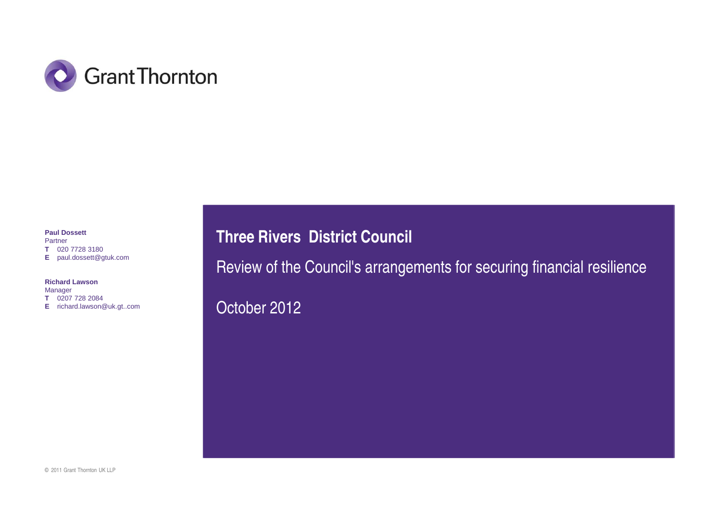

#### **Paul Dossett**Partner

 **T** 020 7728 3180 **E** paul.dossett@gtuk.com

**Richard Lawson**

Manager **T** 0207 728 2084 **E** richard.lawson@uk.gt..com **Three Rivers District Council**

Review of the Council's arrangements for securing financial resilience

October 2012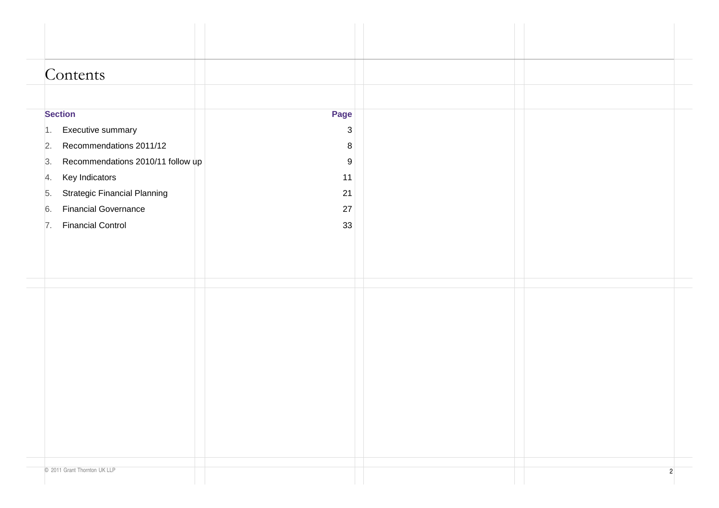| Contents                                  |                  |                |
|-------------------------------------------|------------------|----------------|
|                                           |                  |                |
|                                           |                  |                |
| <b>Section</b>                            | Page             |                |
| Executive summary<br>1.                   | $\mathbf{3}$     |                |
| Recommendations 2011/12<br>2.             | 8                |                |
| Recommendations 2010/11 follow up<br>3.   | $\boldsymbol{9}$ |                |
| Key Indicators<br>4.                      | 11               |                |
| <b>Strategic Financial Planning</b><br>5. | 21               |                |
| <b>Financial Governance</b><br>6.         | 27               |                |
| <b>Financial Control</b><br>7.            | 33               |                |
|                                           |                  |                |
|                                           |                  |                |
|                                           |                  |                |
|                                           |                  |                |
|                                           |                  |                |
|                                           |                  |                |
|                                           |                  |                |
|                                           |                  |                |
|                                           |                  |                |
|                                           |                  |                |
|                                           |                  |                |
|                                           |                  |                |
|                                           |                  |                |
|                                           |                  |                |
|                                           |                  |                |
|                                           |                  |                |
| © 2011 Grant Thornton UK LLP              |                  | $\overline{2}$ |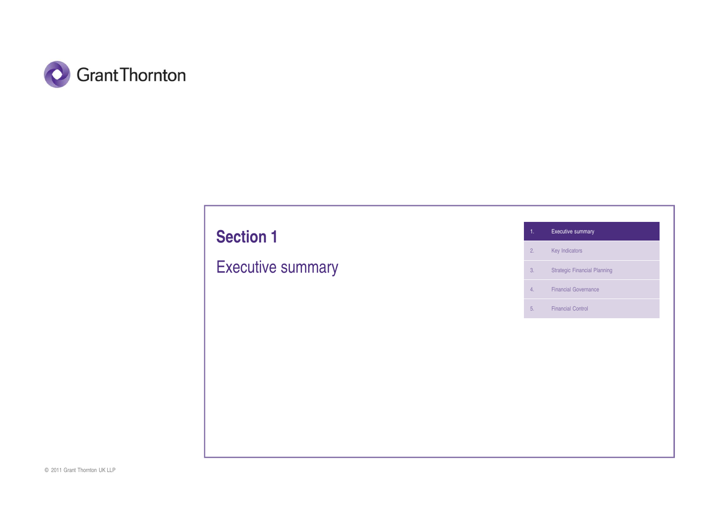

# **Section 1**

Executive summary

1. Executive summary

2. Key Indicators

3. Strategic Financial Planning

4. Financial Governance

5. Financial Control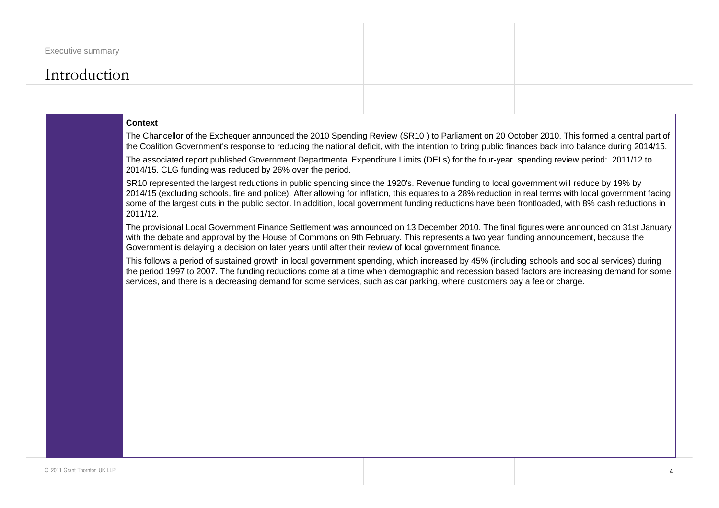| <b>Executive summary</b> |  |  |
|--------------------------|--|--|
| Introduction             |  |  |
|                          |  |  |

#### **Context**

The Chancellor of the Exchequer announced the 2010 Spending Review (SR10 ) to Parliament on 20 October 2010. This formed a central part of the Coalition Government's response to reducing the national deficit, with the intention to bring public finances back into balance during 2014/15.

The associated report published Government Departmental Expenditure Limits (DELs) for the four-year spending review period: 2011/12 to 2014/15. CLG funding was reduced by 26% over the period.

SR10 represented the largest reductions in public spending since the 1920's. Revenue funding to local government will reduce by 19% by 2014/15 (excluding schools, fire and police). After allowing for inflation, this equates to a 28% reduction in real terms with local government facing some of the largest cuts in the public sector. In addition, local government funding reductions have been frontloaded, with 8% cash reductions in 2011/12.

The provisional Local Government Finance Settlement was announced on 13 December 2010. The final figures were announced on 31st January with the debate and approval by the House of Commons on 9th February. This represents a two year funding announcement, because the Government is delaying a decision on later years until after their review of local government finance.

This follows a period of sustained growth in local government spending, which increased by 45% (including schools and social services) during the period 1997 to 2007. The funding reductions come at a time when demographic and recession based factors are increasing demand for some services, and there is a decreasing demand for some services, such as car parking, where customers pay a fee or charge.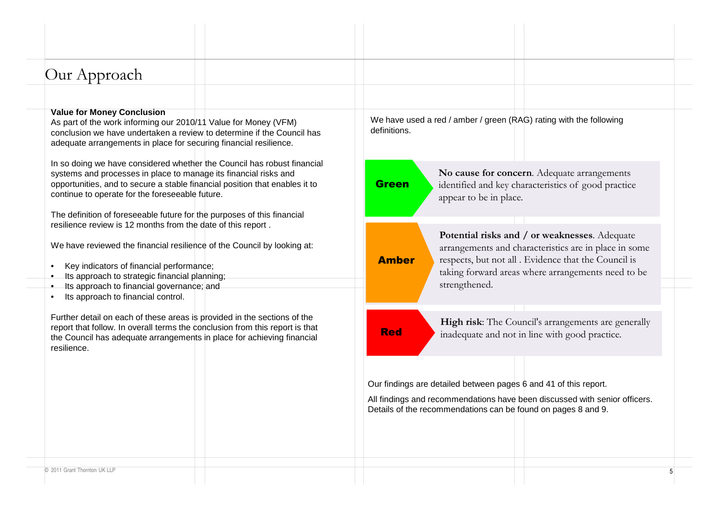| Our Approach |  |
|--------------|--|
|--------------|--|

#### **Value for Money Conclusion**

 As part of the work informing our 2010/11 Value for Money (VFM) conclusion we have undertaken a review to determine if the Council has adequate arrangements in place for securing financial resilience.

In so doing we have considered whether the Council has robust financial systems and processes in place to manage its financial risks and opportunities, and to secure a stable financial position that enables it to continue to operate for the foreseeable future.

The definition of foreseeable future for the purposes of this financial resilience review is 12 months from the date of this report .

We have reviewed the financial resilience of the Council by looking at:

- •Key indicators of financial performance;
- •Its approach to strategic financial planning;
- Its approach to financial governance; and
- •Its approach to financial control.

Further detail on each of these areas is provided in the sections of the report that follow. In overall terms the conclusion from this report is that the Council has adequate arrangements in place for achieving financial resilience.

We have used a red / amber / green (RAG) rating with the following definitions.

**Green** 

**No cause for concern**. Adequate arrangements identified and key characteristics of good practice appear to be in place.

Amber

**Potential risks and / or weaknesses**. Adequate arrangements and characteristics are in place in some respects, but not all . Evidence that the Council is taking forward areas where arrangements need to be strengthened.

Red

**High risk**: The Council's arrangements are generally inadequate and not in line with good practice.

Our findings are detailed between pages 6 and 41 of this report.

All findings and recommendations have been discussed with senior officers. Details of the recommendations can be found on pages 8 and 9.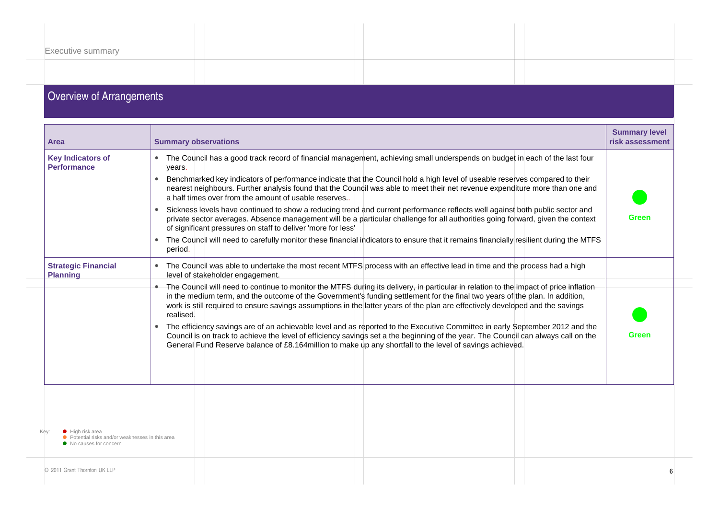| <b>Executive summary</b> |  |  |  |  |
|--------------------------|--|--|--|--|
|                          |  |  |  |  |
|                          |  |  |  |  |
|                          |  |  |  |  |
|                          |  |  |  |  |
|                          |  |  |  |  |
|                          |  |  |  |  |
|                          |  |  |  |  |

#### **Overview of Arrangements**

| Area                                                                                          | <b>Summary observations</b>                                                                                                                                                                                                                                                                                                                                                                                                                                                                                                                                                                                                                                                                                                                                                                                                                                                                                                                                                      | <b>Summary level</b><br>risk assessment |   |
|-----------------------------------------------------------------------------------------------|----------------------------------------------------------------------------------------------------------------------------------------------------------------------------------------------------------------------------------------------------------------------------------------------------------------------------------------------------------------------------------------------------------------------------------------------------------------------------------------------------------------------------------------------------------------------------------------------------------------------------------------------------------------------------------------------------------------------------------------------------------------------------------------------------------------------------------------------------------------------------------------------------------------------------------------------------------------------------------|-----------------------------------------|---|
| <b>Key Indicators of</b><br><b>Performance</b>                                                | • The Council has a good track record of financial management, achieving small underspends on budget in each of the last four<br>years.<br>Benchmarked key indicators of performance indicate that the Council hold a high level of useable reserves compared to their<br>$\bullet$<br>nearest heighbours. Further analysis found that the Council was able to meet their net revenue expenditure more than one and<br>a half times over from the amount of usable reserves.<br>Sickness levels have continued to show a reducing trend and current performance reflects well against both public sector and<br>$\bullet$<br>private sector averages. Absence management will be a particular challenge for all authorities going forward, given the context<br>of significant pressures on staff to deliver 'more for less'<br>The Council will need to carefully monitor these financial indicators to ensure that it remains financially resilient during the MTFS<br>period. | Green                                   |   |
| <b>Strategic Financial</b><br><b>Planning</b>                                                 | • The Council was able to undertake the most recent MTFS process with an effective lead in time and the process had a high<br>level of stakeholder engagement.                                                                                                                                                                                                                                                                                                                                                                                                                                                                                                                                                                                                                                                                                                                                                                                                                   |                                         |   |
|                                                                                               | • The Council will need to continue to monitor the MTFS during its delivery, in particular in relation to the impact of price inflation<br>in the medium term, and the outcome of the Government's funding settlement for the final two years of the plan. In addition,<br>work is still required to ensure savings assumptions in the latter years of the plan are effectively developed and the savings<br>realised.<br>The efficiency savings are of an achievable level and as reported to the Executive Committee in early September 2012 and the<br>Council is on track to achieve the level of efficiency savings set a the beginning of the year. The Council can always call on the<br>General Fund Reserve balance of £8.164 million to make up any shortfall to the level of savings achieved.                                                                                                                                                                        | <b>Green</b>                            |   |
| High risk area<br>● Potential risks and/or weaknesses in this area<br>• No causes for concern |                                                                                                                                                                                                                                                                                                                                                                                                                                                                                                                                                                                                                                                                                                                                                                                                                                                                                                                                                                                  |                                         |   |
| © 2011 Grant Thornton UK LLP                                                                  |                                                                                                                                                                                                                                                                                                                                                                                                                                                                                                                                                                                                                                                                                                                                                                                                                                                                                                                                                                                  |                                         | 6 |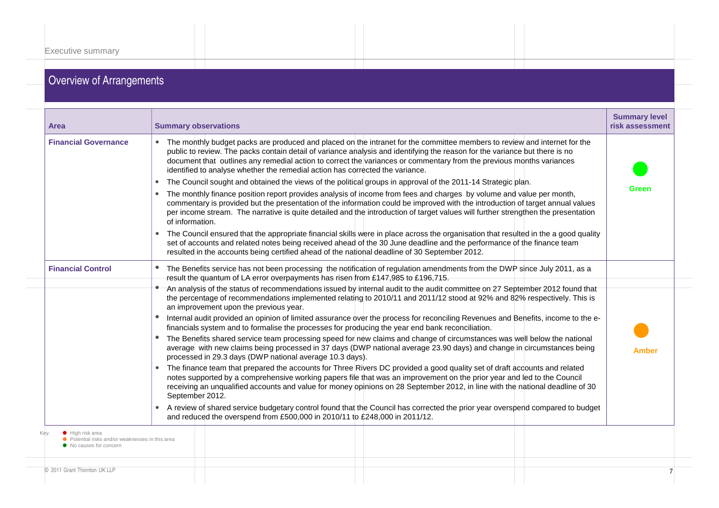## Overview of Arrangements

| <b>Area</b>                                                                                                     | <b>Summary observations</b>                                                                                                                                                                                                                                                                                                                                                                                                                                                                                                                                                                                                                                                                                                                                                                      | <b>Summary level</b><br>risk assessment |
|-----------------------------------------------------------------------------------------------------------------|--------------------------------------------------------------------------------------------------------------------------------------------------------------------------------------------------------------------------------------------------------------------------------------------------------------------------------------------------------------------------------------------------------------------------------------------------------------------------------------------------------------------------------------------------------------------------------------------------------------------------------------------------------------------------------------------------------------------------------------------------------------------------------------------------|-----------------------------------------|
| <b>Financial Governance</b>                                                                                     | The monthly budget packs are produced and placed on the intranet for the committee members to review and internet for the<br>public to review. The packs contain detail of variance analysis and identifying the reason for the variance but there is no<br>document that outlines any remedial action to correct the variances or commentary from the previous months variances<br>identified to analyse whether the remedial action has corrected the variance.                                                                                                                                                                                                                                                                                                                                |                                         |
|                                                                                                                 | The Council sought and obtained the views of the political groups in approval of the 2011-14 Strategic plan.<br>$\bullet$                                                                                                                                                                                                                                                                                                                                                                                                                                                                                                                                                                                                                                                                        |                                         |
|                                                                                                                 | The monthly finance position report provides analysis of income from fees and charges by volume and value per month,<br>commentary is provided but the presentation of the information could be improved with the introduction of target annual values<br>per income stream. The narrative is quite detailed and the introduction of target values will further strengthen the presentation<br>of information.                                                                                                                                                                                                                                                                                                                                                                                   | Green                                   |
|                                                                                                                 | The Council ensured that the appropriate financial skills were in place across the organisation that resulted in the a good quality<br>$\bullet$<br>set of accounts and related notes being received ahead of the 30 June deadline and the performance of the finance team<br>resulted in the accounts being certified ahead of the national deadline of 30 September 2012.                                                                                                                                                                                                                                                                                                                                                                                                                      |                                         |
| <b>Financial Control</b>                                                                                        | The Benefits service has not been processing the notification of regulation amendments from the DWP since July 2011, as a<br>result the quantum of LA error overpayments has risen from £147,985 to £196,715.                                                                                                                                                                                                                                                                                                                                                                                                                                                                                                                                                                                    |                                         |
|                                                                                                                 | An analysis of the status of recommendations issued by internal audit to the audit committee on 27 September 2012 found that<br>the percentage of recommendations implemented relating to 2010/11 and 2011/12 stood at 92% and 82% respectively. This is<br>an improvement upon the previous year.<br>Internal audit provided an opinion of limited assurance over the process for reconciling Revenues and Benefits, income to the e-<br>financials system and to formalise the processes for producing the year end bank reconciliation.<br>The Benefits shared service team processing speed for new claims and change of circumstances was well below the national<br>average with new claims being processed in 37 days (DWP national average 23.90 days) and change in circumstances being |                                         |
|                                                                                                                 | processed in 29.3 days (DWP national average 10.3 days).<br>The finance team that prepared the accounts for Three Rivers DC provided a good quality set of draft accounts and related<br>notes supported by a comprehensive working papers file that was an improvement on the prior year and led to the Council<br>receiving an unqualified accounts and value for money opinions on 28 September 2012, in line with the national deadline of 30<br>September 2012.                                                                                                                                                                                                                                                                                                                             | Amber                                   |
|                                                                                                                 | • A review of shared service budgetary control found that the Council has corrected the prior year overspend compared to budget<br>and reduced the overspend from £500,000 in 2010/11 to £248,000 in 2011/12.                                                                                                                                                                                                                                                                                                                                                                                                                                                                                                                                                                                    |                                         |
| Kev:<br>$\bullet$ High risk area<br>● Potential risks and/or weaknesses in this area<br>● No causes for concern |                                                                                                                                                                                                                                                                                                                                                                                                                                                                                                                                                                                                                                                                                                                                                                                                  |                                         |
| © 2011 Grant Thornton UK LLP                                                                                    |                                                                                                                                                                                                                                                                                                                                                                                                                                                                                                                                                                                                                                                                                                                                                                                                  |                                         |
|                                                                                                                 |                                                                                                                                                                                                                                                                                                                                                                                                                                                                                                                                                                                                                                                                                                                                                                                                  |                                         |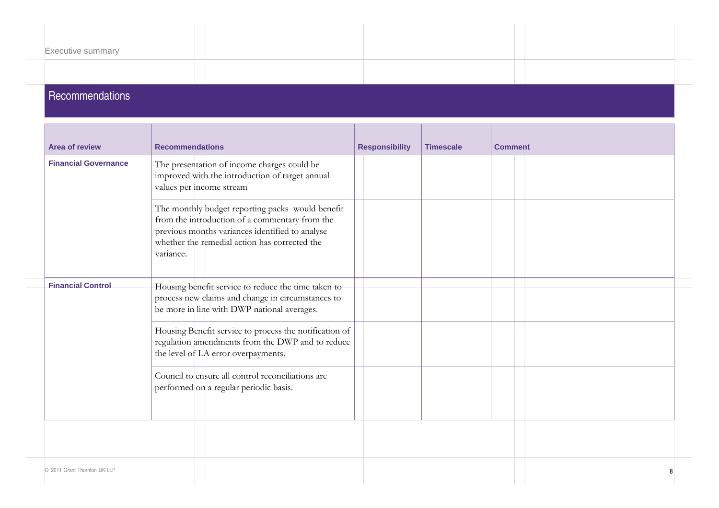| <b>Executive summary</b> |  |  |
|--------------------------|--|--|
|                          |  |  |
|                          |  |  |
| Recommendations          |  |  |

| <b>Area of review</b>        | <b>Recommendations</b>                                                                                                                                                                                              | <b>Responsibility</b> | <b>Timescale</b> | <b>Comment</b> |
|------------------------------|---------------------------------------------------------------------------------------------------------------------------------------------------------------------------------------------------------------------|-----------------------|------------------|----------------|
| <b>Financial Governance</b>  | The presentation of income charges could be<br>improved with the introduction of target annual<br>values per income stream                                                                                          |                       |                  |                |
|                              | The monthly budget reporting packs would benefit<br>from the introduction of a commentary from the<br>previous months variances identified to analyse<br>whether the remedial action has corrected the<br>variance. |                       |                  |                |
| <b>Financial Control</b>     | Housing benefit service to reduce the time taken to<br>process new claims and change in circumstances to<br>be more in line with DWP national averages.                                                             |                       |                  |                |
|                              | Housing Benefit service to process the notification of<br>regulation amendments from the DWP and to reduce<br>the level of LA error overpayments.                                                                   |                       |                  |                |
|                              | Council to ensure all control reconciliations are<br>performed on a regular periodic basis.                                                                                                                         |                       |                  |                |
|                              |                                                                                                                                                                                                                     |                       |                  |                |
| © 2011 Grant Thornton UK LLP |                                                                                                                                                                                                                     |                       |                  |                |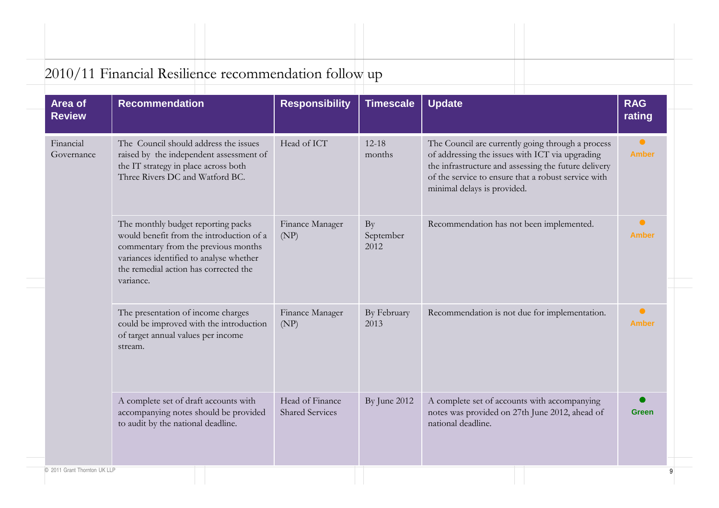| 2010/11 Financial Resilience recommendation follow up |  |  |
|-------------------------------------------------------|--|--|

| Area of<br><b>Review</b> | <b>Recommendation</b>                                                                                                                                                                                                  | <b>Responsibility</b>                     | <b>Timescale</b>        | <b>Update</b>                                                                                                                                                                                                                                      | <b>RAG</b><br>rating      |
|--------------------------|------------------------------------------------------------------------------------------------------------------------------------------------------------------------------------------------------------------------|-------------------------------------------|-------------------------|----------------------------------------------------------------------------------------------------------------------------------------------------------------------------------------------------------------------------------------------------|---------------------------|
| Financial<br>Governance  | The Council should address the issues<br>raised by the independent assessment of<br>the IT strategy in place across both<br>Three Rivers DC and Watford BC.                                                            | Head of ICT                               | $12 - 18$<br>months     | The Council are currently going through a process<br>of addressing the issues with ICT via upgrading<br>the infrastructure and assessing the future delivery<br>of the service to ensure that a robust service with<br>minimal delays is provided. | $\bullet$<br><b>Amber</b> |
|                          | The monthly budget reporting packs<br>would benefit from the introduction of a<br>commentary from the previous months<br>variances identified to analyse whether<br>the remedial action has corrected the<br>variance. | Finance Manager<br>(NP)                   | By<br>September<br>2012 | Recommendation has not been implemented.                                                                                                                                                                                                           | $\bullet$<br><b>Amber</b> |
|                          | The presentation of income charges<br>could be improved with the introduction<br>of target annual values per income<br>stream.                                                                                         | Finance Manager<br>(NP)                   | By February<br>2013     | Recommendation is not due for implementation.                                                                                                                                                                                                      | $\bullet$<br><b>Amber</b> |
|                          | A complete set of draft accounts with<br>accompanying notes should be provided<br>to audit by the national deadline.                                                                                                   | Head of Finance<br><b>Shared Services</b> | By June 2012            | A complete set of accounts with accompanying<br>notes was provided on 27th June 2012, ahead of<br>national deadline.                                                                                                                               | <b>Green</b>              |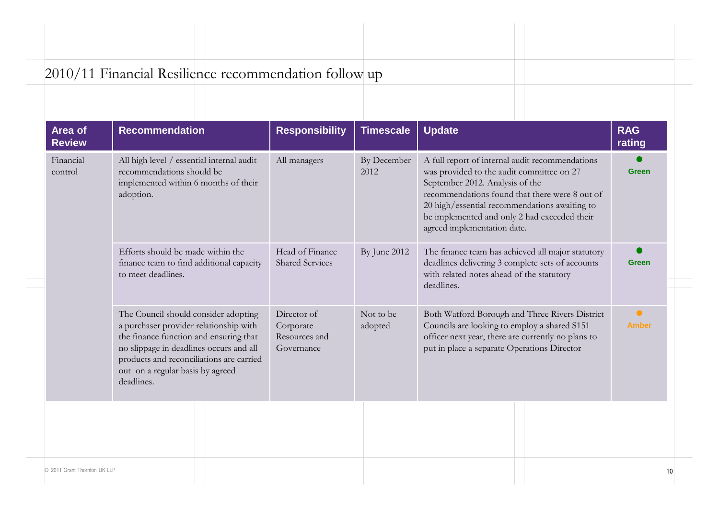| 2010/11 Financial Resilience recommendation follow up |  |  |
|-------------------------------------------------------|--|--|
|                                                       |  |  |

| Area of<br><b>Review</b> | <b>Recommendation</b>                                                                                                                                                                                                                                             | <b>Responsibility</b>                                   | <b>Timescale</b>     | <b>Update</b>                                                                                                                                                                                                                                                                                                     | <b>RAG</b><br>rating      |
|--------------------------|-------------------------------------------------------------------------------------------------------------------------------------------------------------------------------------------------------------------------------------------------------------------|---------------------------------------------------------|----------------------|-------------------------------------------------------------------------------------------------------------------------------------------------------------------------------------------------------------------------------------------------------------------------------------------------------------------|---------------------------|
| Financial<br>control     | All high level / essential internal audit<br>recommendations should be<br>implemented within 6 months of their<br>adoption.                                                                                                                                       | All managers                                            | By December<br>2012  | A full report of internal audit recommendations<br>was provided to the audit committee on 27<br>September 2012. Analysis of the<br>recommendations found that there were 8 out of<br>20 high/essential recommendations awaiting to<br>be implemented and only 2 had exceeded their<br>agreed implementation date. | <b>Green</b>              |
|                          | Efforts should be made within the<br>finance team to find additional capacity<br>to meet deadlines.                                                                                                                                                               | Head of Finance<br><b>Shared Services</b>               | By June 2012         | The finance team has achieved all major statutory<br>deadlines delivering 3 complete sets of accounts<br>with related notes ahead of the statutory<br>deadlines.                                                                                                                                                  | <b>Green</b>              |
|                          | The Council should consider adopting<br>a purchaser provider relationship with<br>the finance function and ensuring that<br>no slippage in deadlines occurs and all<br>products and reconciliations are carried<br>out on a regular basis by agreed<br>deadlines. | Director of<br>Corporate<br>Resources and<br>Governance | Not to be<br>adopted | Both Watford Borough and Three Rivers District<br>Councils are looking to employ a shared S151<br>officer next year, there are currently no plans to<br>put in place a separate Operations Director                                                                                                               | $\bullet$<br><b>Amber</b> |
|                          |                                                                                                                                                                                                                                                                   |                                                         |                      |                                                                                                                                                                                                                                                                                                                   |                           |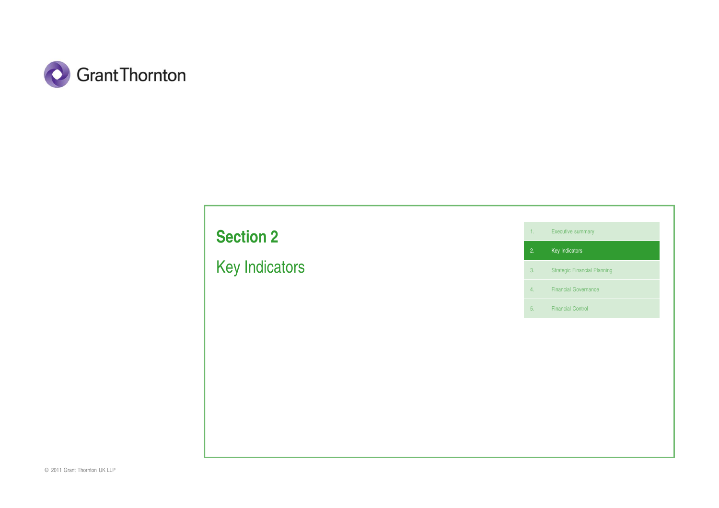

# **Section 2**

Key Indicators

1. Executive summary

2. Key Indicators

3. Strategic Financial Planning

4. Financial Governance

5. Financial Control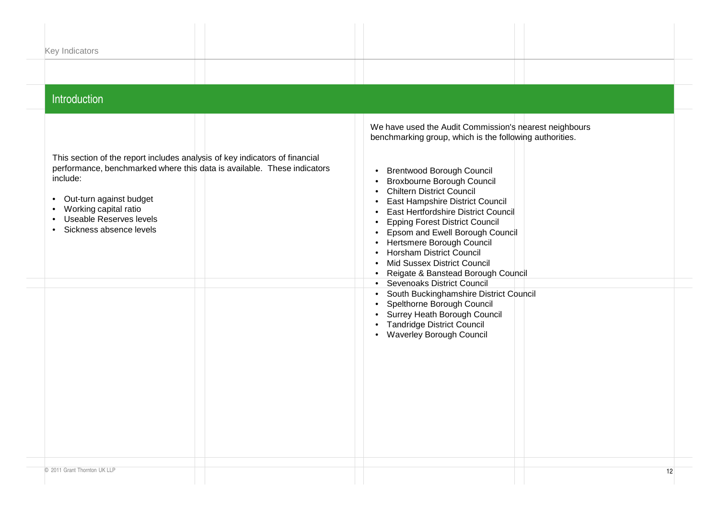| Key Indicators                                                                                                                                                                                                                                                                     |                                                                                                                                                                                                                                                                                                                                                                                                                                                                                                                                                                                                                                                                                                                                                                                                       |
|------------------------------------------------------------------------------------------------------------------------------------------------------------------------------------------------------------------------------------------------------------------------------------|-------------------------------------------------------------------------------------------------------------------------------------------------------------------------------------------------------------------------------------------------------------------------------------------------------------------------------------------------------------------------------------------------------------------------------------------------------------------------------------------------------------------------------------------------------------------------------------------------------------------------------------------------------------------------------------------------------------------------------------------------------------------------------------------------------|
| Introduction                                                                                                                                                                                                                                                                       |                                                                                                                                                                                                                                                                                                                                                                                                                                                                                                                                                                                                                                                                                                                                                                                                       |
| This section of the report includes analysis of key indicators of financial<br>performance, benchmarked where this data is available. These indicators<br>include:<br>• Out-turn against budget<br>Working capital ratio<br>• Useable Reserves levels<br>· Sickness absence levels | We have used the Audit Commission's nearest neighbours<br>benchmarking group, which is the following authorities.<br><b>Brentwood Borough Council</b><br><b>Broxbourne Borough Council</b><br><b>Chiltern District Council</b><br>East Hampshire District Council<br>East Hertfordshire District Council<br><b>Epping Forest District Council</b><br>$\bullet$<br>Epsom and Ewell Borough Council<br>$\bullet$<br>Hertsmere Borough Council<br>$\bullet$<br><b>Horsham District Council</b><br>Mid Sussex District Council<br>Reigate & Banstead Borough Council<br>• Sevenoaks District Council<br>South Buckinghamshire District Council<br>$\bullet$<br>Spelthorne Borough Council<br>Surrey Heath Borough Council<br><b>Tandridge District Council</b><br>$\bullet$<br>• Waverley Borough Council |
| © 2011 Grant Thornton UK LLP                                                                                                                                                                                                                                                       | 12 <sup>2</sup>                                                                                                                                                                                                                                                                                                                                                                                                                                                                                                                                                                                                                                                                                                                                                                                       |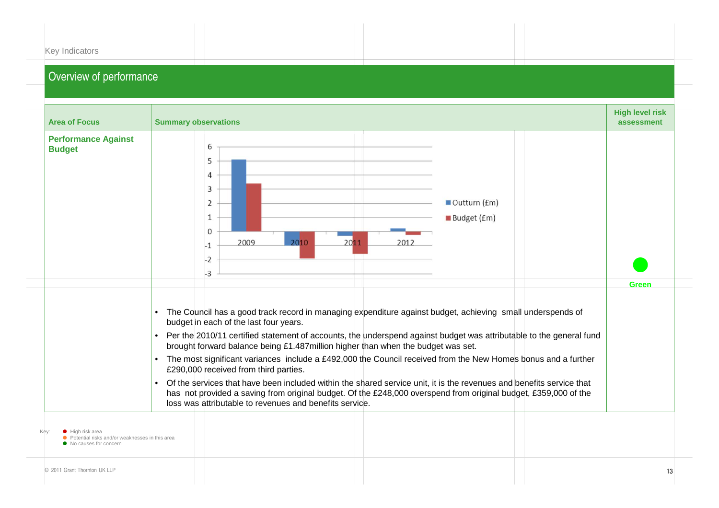| Key Indicators |  |  |
|----------------|--|--|
|                |  |  |

| <b>Area of Focus</b>                                                                                    | <b>Summary observations</b>                                                                                                                                                                                                                                                                                                                                                                                                                                                                                                                                                                                                                                                                                                                                                                                                                                                         | <b>High level risk</b><br>assessment |
|---------------------------------------------------------------------------------------------------------|-------------------------------------------------------------------------------------------------------------------------------------------------------------------------------------------------------------------------------------------------------------------------------------------------------------------------------------------------------------------------------------------------------------------------------------------------------------------------------------------------------------------------------------------------------------------------------------------------------------------------------------------------------------------------------------------------------------------------------------------------------------------------------------------------------------------------------------------------------------------------------------|--------------------------------------|
| <b>Performance Against</b><br><b>Budget</b>                                                             | 6<br>5<br>4<br>3<br>Outturn (£m)<br>2<br>Budget (£m)<br>1<br>$\mathbf{0}$<br>2009<br>2010<br>2011<br>2012<br>$-1$<br>$-2$<br>$-3$                                                                                                                                                                                                                                                                                                                                                                                                                                                                                                                                                                                                                                                                                                                                                   |                                      |
| Kev:<br>• High risk area<br>• Potential risks and/or weaknesses in this area<br>• No causes for concern | The Council has a good track record in managing expenditure against budget, achieving small underspends of<br>$\bullet$<br>budget in each of the last four years.<br>Per the 2010/11 certified statement of accounts, the underspend against budget was attributable to the general fund<br>$\bullet$<br>brought forward balance being £1.487million higher than when the budget was set.<br>The most significant variances include a £492,000 the Council received from the New Homes bonus and a further<br>$\bullet$<br>£290,000 received from third parties.<br>Of the services that have been included within the shared service unit, it is the revenues and benefits service that<br>$\bullet$<br>has not provided a saving from original budget. Of the £248,000 overspend from original budget, £359,000 of the<br>loss was attributable to revenues and benefits service. | <b>Green</b>                         |
| © 2011 Grant Thornton UK LLP                                                                            |                                                                                                                                                                                                                                                                                                                                                                                                                                                                                                                                                                                                                                                                                                                                                                                                                                                                                     | 13                                   |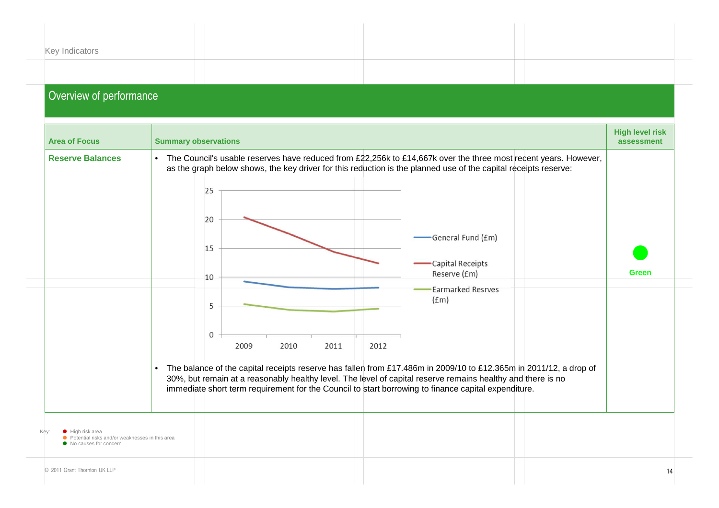| Key Indicators          |  |  |
|-------------------------|--|--|
|                         |  |  |
|                         |  |  |
| Overview of performance |  |  |

| <b>Area of Focus</b>                                                                            | <b>Summary observations</b>                                                                                                                                                                                                                                                                                                                                                                                                                    | <b>High level risk</b><br>assessment |
|-------------------------------------------------------------------------------------------------|------------------------------------------------------------------------------------------------------------------------------------------------------------------------------------------------------------------------------------------------------------------------------------------------------------------------------------------------------------------------------------------------------------------------------------------------|--------------------------------------|
| <b>Reserve Balances</b>                                                                         | • The Council's usable reserves have reduced from £22,256k to £14,667k over the three most recent years. However,<br>as the graph below shows, the key driver for this reduction is the planned use of the capital receipts reserve:<br>25<br>20<br>General Fund (£m)<br>15<br>Capital Receipts<br>Reserve (£m)<br>10                                                                                                                          | <b>Green</b>                         |
|                                                                                                 | <b>Earmarked Resrves</b><br>(f.m)<br>5<br>$\mathbf{0}$<br>2009<br>2010<br>2012<br>2011<br>The balance of the capital receipts reserve has fallen from £17.486m in 2009/10 to £12.365m in 2011/12, a drop of<br>$\bullet$<br>30%, but remain at a reasonably healthy level. The level of capital reserve remains healthy and there is no<br>immediate short term requirement for the Council to start borrowing to finance capital expenditure. |                                      |
| • High risk area<br>• Potential risks and/or weaknesses in this area<br>• No causes for concern |                                                                                                                                                                                                                                                                                                                                                                                                                                                |                                      |
| © 2011 Grant Thornton UK LLP                                                                    |                                                                                                                                                                                                                                                                                                                                                                                                                                                | 14                                   |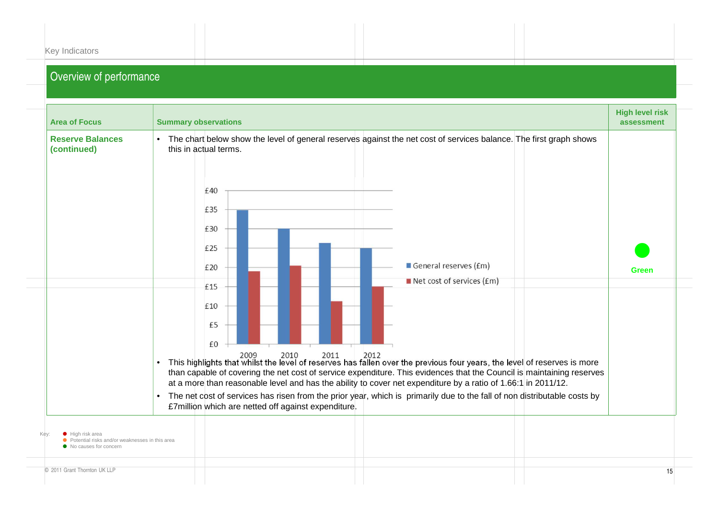|  | Key Indicators |  |
|--|----------------|--|
|--|----------------|--|

| <b>Area of Focus</b>                                                                                  | <b>Summary observations</b>                                                                                                                                                                                                                                                                                                                                                                                                                                                                                                                                                                                                                                                                                                                                                                                                                                                                                   | <b>High level risk</b><br>assessment |
|-------------------------------------------------------------------------------------------------------|---------------------------------------------------------------------------------------------------------------------------------------------------------------------------------------------------------------------------------------------------------------------------------------------------------------------------------------------------------------------------------------------------------------------------------------------------------------------------------------------------------------------------------------------------------------------------------------------------------------------------------------------------------------------------------------------------------------------------------------------------------------------------------------------------------------------------------------------------------------------------------------------------------------|--------------------------------------|
| <b>Reserve Balances</b><br>(continued)                                                                | The chart below show the level of general reserves against the net cost of services balance. The first graph shows<br>$\bullet$<br>this in actual terms.<br>£40<br>£35<br>£30<br>£25<br>General reserves (£m)<br>£20<br>$\blacksquare$ Net cost of services (£m)<br>£15<br>£10<br>£5<br>£0<br>2009<br>2010<br>2011<br>2012<br>This highlights that whilst the level of reserves has fallen over the previous four years, the level of reserves is more<br>$\bullet$<br>than capable of covering the net cost of service expenditure. This evidences that the Council is maintaining reserves<br>at a more than reasonable level and has the ability to cover net expenditure by a ratio of 1.66:1 in 2011/12.<br>The net cost of services has risen from the prior year, which is primarily due to the fall of non distributable costs by<br>$\bullet$<br>£7million which are netted off against expenditure. | <b>Green</b>                         |
| Kev:<br>High risk area<br>• Potential risks and/or weaknesses in this area<br>• No causes for concern |                                                                                                                                                                                                                                                                                                                                                                                                                                                                                                                                                                                                                                                                                                                                                                                                                                                                                                               |                                      |
| © 2011 Grant Thornton UK LLP                                                                          |                                                                                                                                                                                                                                                                                                                                                                                                                                                                                                                                                                                                                                                                                                                                                                                                                                                                                                               | 15                                   |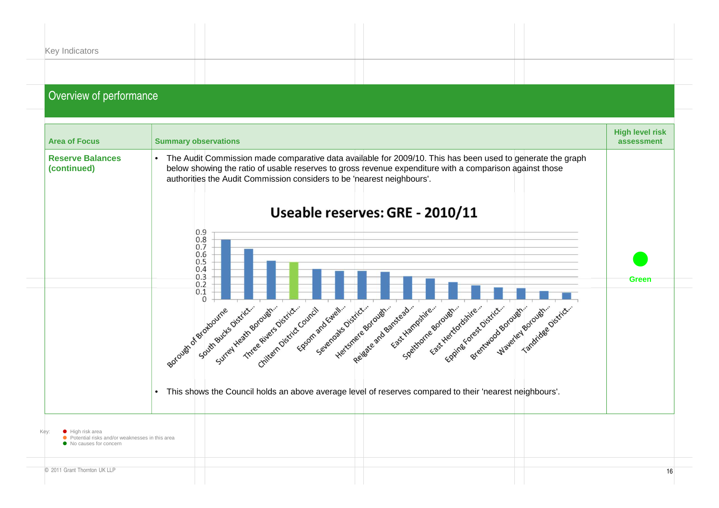| Key Indicators          |  |  |
|-------------------------|--|--|
|                         |  |  |
|                         |  |  |
| Overview of performance |  |  |

| <b>Area of Focus</b>                                                                        | <b>Summary observations</b>                                                                                                                                                                                                                                                                                                                                                                                                                                                                                                                                                                                                                                                                                                                                                                                                                                                                                             | <b>High level risk</b><br>assessment |
|---------------------------------------------------------------------------------------------|-------------------------------------------------------------------------------------------------------------------------------------------------------------------------------------------------------------------------------------------------------------------------------------------------------------------------------------------------------------------------------------------------------------------------------------------------------------------------------------------------------------------------------------------------------------------------------------------------------------------------------------------------------------------------------------------------------------------------------------------------------------------------------------------------------------------------------------------------------------------------------------------------------------------------|--------------------------------------|
| <b>Reserve Balances</b><br>(continued)                                                      | • The Audit Commission made comparative data available for 2009/10. This has been used to generate the graph<br>below showing the ratio of usable reserves to gross revenue expenditure with a comparison against those<br>authorities the Audit Commission considers to be 'nearest neighbours'.<br>Useable reserves: GRE - 2010/11<br>0.9<br>0.8<br>0.7<br>0.6<br>0.5<br>0.4<br>0.3<br>0.2<br>0.1<br>$\Omega$<br>Epsom and Ewell<br>South Buck S District<br>Surrey Heath Borough<br>Three Rivers District<br>Sevenoaks District<br>Reigate and Bandread.<br>Herenere Borough.<br>East Hampshire.<br>Eppines forest District.<br>Waverley Borough.<br>Chitern District Council<br>Spekthorne Borough<br>Breitswood Borough<br>Tandridge District<br>Fast Hertfordshire<br>Borough of Broutine<br>This shows the Council holds an above average level of reserves compared to their 'nearest neighbours'.<br>$\bullet$ | Green                                |
| Key<br>risk area<br>Potential risks and/or weaknesses in this area<br>No causes for concern |                                                                                                                                                                                                                                                                                                                                                                                                                                                                                                                                                                                                                                                                                                                                                                                                                                                                                                                         |                                      |
| © 2011 Grant Thornton UK LLP                                                                |                                                                                                                                                                                                                                                                                                                                                                                                                                                                                                                                                                                                                                                                                                                                                                                                                                                                                                                         | 16                                   |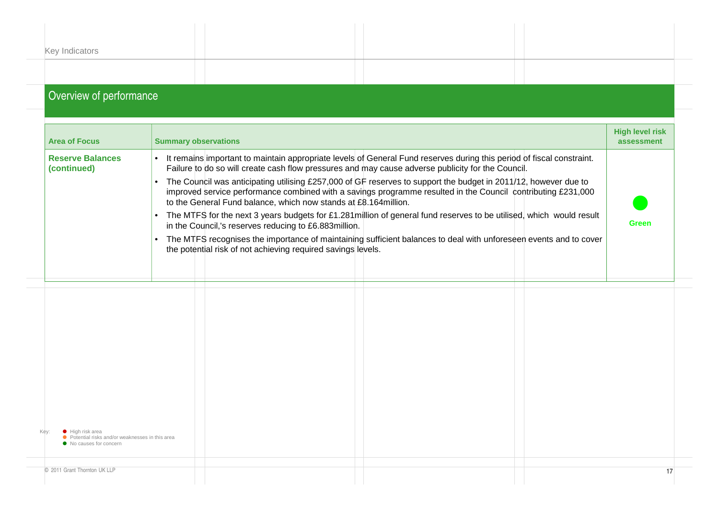| Overview of nortarmanoo |  |  |
|-------------------------|--|--|
|                         |  |  |
|                         |  |  |
| Key Indicators          |  |  |
|                         |  |  |
|                         |  |  |

| <b>Area of Focus</b>                                                                                            | <b>Summary observations</b>                                                                                                                                                                                                                                                                                                                                                                                                                                                                                                                                                                                                                                                                                                                                                                                                                                                                                                                      | <b>High level risk</b><br>assessment |
|-----------------------------------------------------------------------------------------------------------------|--------------------------------------------------------------------------------------------------------------------------------------------------------------------------------------------------------------------------------------------------------------------------------------------------------------------------------------------------------------------------------------------------------------------------------------------------------------------------------------------------------------------------------------------------------------------------------------------------------------------------------------------------------------------------------------------------------------------------------------------------------------------------------------------------------------------------------------------------------------------------------------------------------------------------------------------------|--------------------------------------|
| <b>Reserve Balances</b><br>(continued)                                                                          | • It remains important to maintain appropriate levels of General Fund reserves during this period of fiscal constraint.<br>Failure to do so will create cash flow pressures and may cause adverse publicity for the Council.<br>The Council was anticipating utilising £257,000 of GF reserves to support the budget in 2011/12, however due to<br>$\bullet$<br>improved service performance combined with a savings programme resulted in the Council contributing £231,000<br>to the General Fund balance, which now stands at £8.164 million.<br>The MTFS for the next 3 years budgets for £1.281 million of general fund reserves to be utilised, which would result<br>$\bullet$<br>in the Council,'s reserves reducing to £6.883million.<br>The MTFS recognises the importance of maintaining sufficient balances to deal with unforeseen events and to cover<br>$\bullet$<br>the potential risk of not achieving required savings levels. | <b>Green</b>                         |
|                                                                                                                 |                                                                                                                                                                                                                                                                                                                                                                                                                                                                                                                                                                                                                                                                                                                                                                                                                                                                                                                                                  |                                      |
|                                                                                                                 |                                                                                                                                                                                                                                                                                                                                                                                                                                                                                                                                                                                                                                                                                                                                                                                                                                                                                                                                                  |                                      |
| Kev:<br>$\bullet$ High risk area<br>● Potential risks and/or weaknesses in this area<br>• No causes for concern |                                                                                                                                                                                                                                                                                                                                                                                                                                                                                                                                                                                                                                                                                                                                                                                                                                                                                                                                                  |                                      |
| © 2011 Grant Thornton UK LLP                                                                                    |                                                                                                                                                                                                                                                                                                                                                                                                                                                                                                                                                                                                                                                                                                                                                                                                                                                                                                                                                  | 17                                   |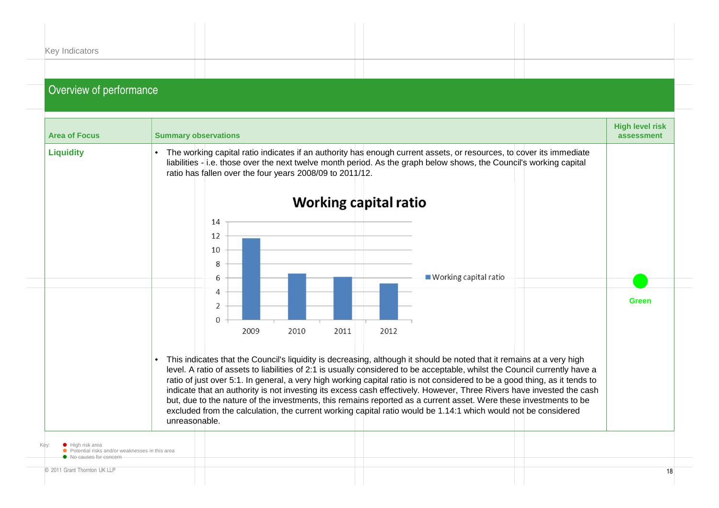| Key Indicators |  |  |
|----------------|--|--|
|                |  |  |
|                |  |  |

| <b>Area of Focus</b>                                                                                  | <b>Summary observations</b>                                           |                                                                                                                                                                                                                                                                                                                                                                                                                                                                                                                                                                                                                                                                                                                                                   | <b>High level risk</b><br>assessment |
|-------------------------------------------------------------------------------------------------------|-----------------------------------------------------------------------|---------------------------------------------------------------------------------------------------------------------------------------------------------------------------------------------------------------------------------------------------------------------------------------------------------------------------------------------------------------------------------------------------------------------------------------------------------------------------------------------------------------------------------------------------------------------------------------------------------------------------------------------------------------------------------------------------------------------------------------------------|--------------------------------------|
| <b>Liquidity</b>                                                                                      | $\bullet$<br>ratio has fallen over the four years 2008/09 to 2011/12. | The working capital ratio indicates if an authority has enough current assets, or resources, to cover its immediate<br>liabilities - i.e. those over the next twelve month period. As the graph below shows, the Council's working capital<br><b>Working capital ratio</b>                                                                                                                                                                                                                                                                                                                                                                                                                                                                        |                                      |
|                                                                                                       | 14<br>12<br>10<br>8<br>6                                              | ■ Working capital ratio                                                                                                                                                                                                                                                                                                                                                                                                                                                                                                                                                                                                                                                                                                                           |                                      |
|                                                                                                       | 4<br>2<br>$\Omega$<br>2009<br>2010<br>2011                            | 2012                                                                                                                                                                                                                                                                                                                                                                                                                                                                                                                                                                                                                                                                                                                                              | Green                                |
|                                                                                                       | unreasonable.                                                         | This indicates that the Council's liquidity is decreasing, although it should be noted that it remains at a very high<br>level. A ratio of assets to liabilities of 2:1 is usually considered to be acceptable, whilst the Council currently have a<br>ratio of just over 5:1. In general, a very high working capital ratio is not considered to be a good thing, as it tends to<br>indicate that an authority is not investing its excess cash effectively. However, Three Rivers have invested the cash<br>but, due to the nature of the investments, this remains reported as a current asset. Were these investments to be<br>excluded from the calculation, the current working capital ratio would be 1.14:1 which would not be considered |                                      |
| $\bullet$ High risk area<br>Potential risks and/or weaknesses in this area<br>• No causes for concern |                                                                       |                                                                                                                                                                                                                                                                                                                                                                                                                                                                                                                                                                                                                                                                                                                                                   |                                      |
| © 2011 Grant Thornton UK LLP                                                                          |                                                                       |                                                                                                                                                                                                                                                                                                                                                                                                                                                                                                                                                                                                                                                                                                                                                   | 18                                   |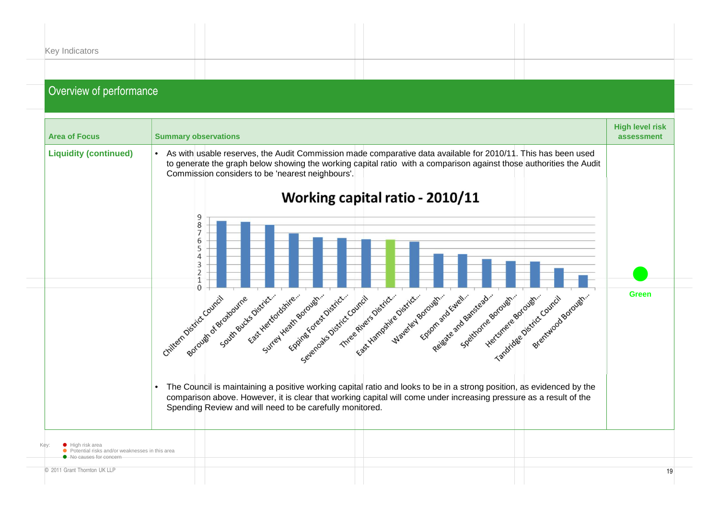| Key Indicators |  |                               |
|----------------|--|-------------------------------|
|                |  |                               |
|                |  | the control of the control of |

| <b>Area of Focus</b>                                                                                        | <b>Summary observations</b>                                                                                                                                                                                                                                                                                                                                                                        | <b>High level risk</b><br>assessment |
|-------------------------------------------------------------------------------------------------------------|----------------------------------------------------------------------------------------------------------------------------------------------------------------------------------------------------------------------------------------------------------------------------------------------------------------------------------------------------------------------------------------------------|--------------------------------------|
| <b>Liquidity (continued)</b>                                                                                | • As with usable reserves, the Audit Commission made comparative data available for 2010/11. This has been used<br>to generate the graph below showing the working capital ratio with a comparison against those authorities the Audit<br>Commission considers to be 'nearest neighbours'.                                                                                                         |                                      |
|                                                                                                             | Working capital ratio - 2010/11<br>9<br>8<br>6<br>5                                                                                                                                                                                                                                                                                                                                                |                                      |
|                                                                                                             | $\overline{A}$<br>3<br>$\overline{2}$<br>$\Omega$                                                                                                                                                                                                                                                                                                                                                  |                                      |
|                                                                                                             | Fast Heritordshire<br>Surrey Heath Borough.<br>East Mampshie District.<br>Fosom and Ewell.<br>South Bucks District<br>Eppine forest District<br>Three Rivers District<br>Reisate and Bandread.<br>Mayerley Borough<br>Spektrome Borough<br>Hertsmere Borough<br>Sevenage District Council<br>Breitswood Borough.<br>Chiltern District Council<br>Tandridge District Council<br>Borough of Broutine | <b>Green</b>                         |
|                                                                                                             | The Council is maintaining a positive working capital ratio and looks to be in a strong position, as evidenced by the<br>comparison above. However, it is clear that working capital will come under increasing pressure as a result of the<br>Spending Review and will need to be carefully monitored.                                                                                            |                                      |
| Kev:<br>$\bullet$ High risk area<br>tential risks and/or weaknesses in this area<br>• No causes for concern |                                                                                                                                                                                                                                                                                                                                                                                                    |                                      |
| © 2011 Grant Thornton UK LLP                                                                                |                                                                                                                                                                                                                                                                                                                                                                                                    |                                      |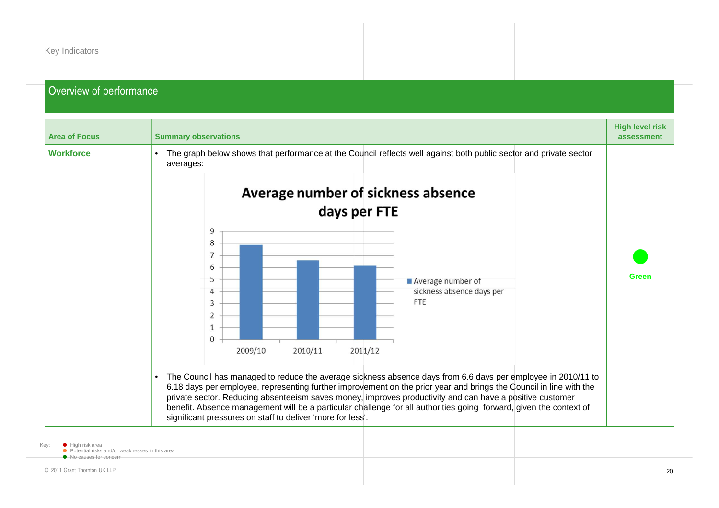| Key Indicators          |  |
|-------------------------|--|
| Overview of performance |  |

| <b>Area of Focus</b>                                                               | <b>Summary observations</b>                                                                                                                                                                                                                                                                                                                                                                                                                                                                                                                     | <b>High level risk</b><br>assessment |
|------------------------------------------------------------------------------------|-------------------------------------------------------------------------------------------------------------------------------------------------------------------------------------------------------------------------------------------------------------------------------------------------------------------------------------------------------------------------------------------------------------------------------------------------------------------------------------------------------------------------------------------------|--------------------------------------|
| <b>Workforce</b>                                                                   | • The graph below shows that performance at the Council reflects well against both public sector and private sector<br>averages:<br>Average number of sickness absence<br>days per FTE<br>9<br>8<br>7<br>6<br>5<br>Average number of<br>sickness absence days per<br>4<br>FTE<br>3<br>2<br>1<br>$\mathbf 0$<br>2009/10<br>2010/11<br>2011/12                                                                                                                                                                                                    | Green                                |
| Kev:<br>$\bullet$ High risk area<br>Potential risks and/or weaknesses in this area | The Council has managed to reduce the average sickness absence days from 6.6 days per employee in 2010/11 to<br>$\bullet$<br>6.18 days per employee, representing further improvement on the prior year and brings the Council in line with the<br>private sector. Reducing absenteeism saves money, improves productivity and can have a positive customer<br>benefit. Absence management will be a particular challenge for all authorities going forward, given the context of<br>significant pressures on staff to deliver 'more for less'. |                                      |
| • No causes for concern<br>© 2011 Grant Thornton UK LLP                            |                                                                                                                                                                                                                                                                                                                                                                                                                                                                                                                                                 | 20                                   |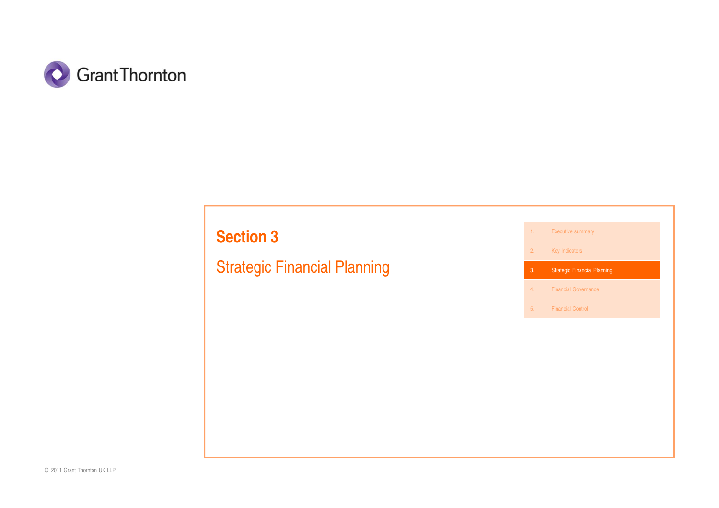

# **Section 3**

Strategic Financial Planning

1. Executive summary**2. Key Indicators** 3. Strategic Financial Planning4. Financial Governance

5. Financial Control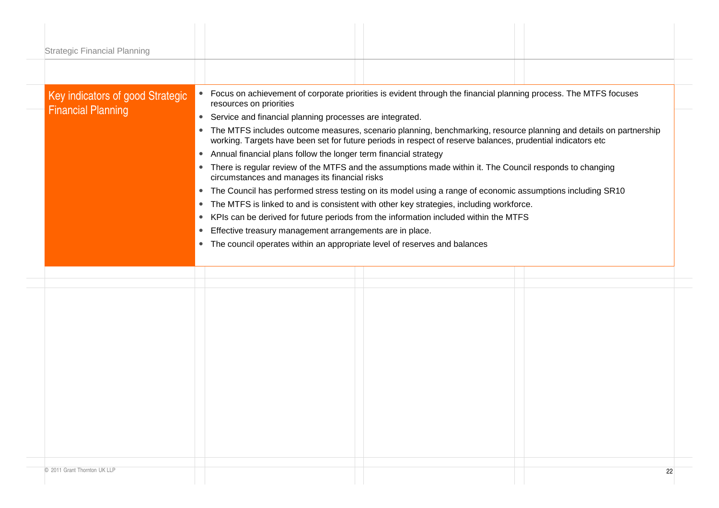| <b>Strategic Financial Planning</b> |                                                                                                                                                                                                                                    |  |  |  |
|-------------------------------------|------------------------------------------------------------------------------------------------------------------------------------------------------------------------------------------------------------------------------------|--|--|--|
|                                     |                                                                                                                                                                                                                                    |  |  |  |
|                                     |                                                                                                                                                                                                                                    |  |  |  |
| Key indicators of good Strategic    | • Focus on achievement of corporate priorities is evident through the financial planning process. The MTFS focuses<br>resources on priorities                                                                                      |  |  |  |
| <b>Financial Planning</b>           | Service and financial planning processes are integrated.<br>$\bullet$                                                                                                                                                              |  |  |  |
|                                     | • The MTFS includes outcome measures, scenario planning, benchmarking, resource planning and details on partnership<br>working. Targets have been set for future periods in respect of reserve balances, prudential indicators etc |  |  |  |
|                                     | • Annual financial plans follow the longer term financial strategy                                                                                                                                                                 |  |  |  |
|                                     | • There is regular review of the MTFS and the assumptions made within it. The Council responds to changing<br>circumstances and manages its financial risks                                                                        |  |  |  |
|                                     | • The Council has performed stress testing on its model using a range of economic assumptions including SR10                                                                                                                       |  |  |  |
|                                     | The MTFS is linked to and is consistent with other key strategies, including workforce.<br>$\bullet$                                                                                                                               |  |  |  |
|                                     | • KPIs can be derived for future periods from the information included within the MTFS                                                                                                                                             |  |  |  |
|                                     | Effective treasury management arrangements are in place.<br>$\bullet$                                                                                                                                                              |  |  |  |
|                                     | The council operates within an appropriate level of reserves and balances<br>$\bullet$                                                                                                                                             |  |  |  |
|                                     |                                                                                                                                                                                                                                    |  |  |  |
|                                     |                                                                                                                                                                                                                                    |  |  |  |
|                                     |                                                                                                                                                                                                                                    |  |  |  |
|                                     |                                                                                                                                                                                                                                    |  |  |  |
|                                     |                                                                                                                                                                                                                                    |  |  |  |
|                                     |                                                                                                                                                                                                                                    |  |  |  |
|                                     |                                                                                                                                                                                                                                    |  |  |  |
|                                     |                                                                                                                                                                                                                                    |  |  |  |
|                                     |                                                                                                                                                                                                                                    |  |  |  |
|                                     |                                                                                                                                                                                                                                    |  |  |  |
|                                     |                                                                                                                                                                                                                                    |  |  |  |
|                                     |                                                                                                                                                                                                                                    |  |  |  |
|                                     |                                                                                                                                                                                                                                    |  |  |  |
|                                     |                                                                                                                                                                                                                                    |  |  |  |
|                                     | 22                                                                                                                                                                                                                                 |  |  |  |
| © 2011 Grant Thornton UK LLP        |                                                                                                                                                                                                                                    |  |  |  |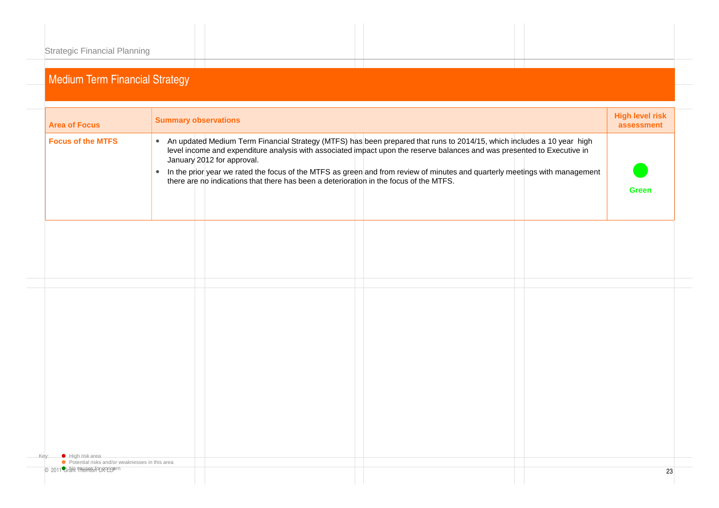| <b>Area of Focus</b>                             |           | <b>Summary observations</b>                                                                                                                                                                                                                                                                                                                                                                                                                                                                                 | <b>High level risk</b><br>assessment |
|--------------------------------------------------|-----------|-------------------------------------------------------------------------------------------------------------------------------------------------------------------------------------------------------------------------------------------------------------------------------------------------------------------------------------------------------------------------------------------------------------------------------------------------------------------------------------------------------------|--------------------------------------|
| <b>Focus of the MTFS</b>                         | $\bullet$ | • An updated Medium Term Financial Strategy (MTFS) has been prepared that runs to 2014/15, which includes a 10 year high<br>level income and expenditure analysis with associated impact upon the reserve balances and was presented to Executive in<br>January 2012 for approval.<br>In the prior year we rated the focus of the MTFS as green and from review of minutes and quarterly meetings with management<br>there are no indications that there has been a deterioration in the focus of the MTFS. | <b>Green</b>                         |
|                                                  |           |                                                                                                                                                                                                                                                                                                                                                                                                                                                                                                             |                                      |
|                                                  |           |                                                                                                                                                                                                                                                                                                                                                                                                                                                                                                             |                                      |
|                                                  |           |                                                                                                                                                                                                                                                                                                                                                                                                                                                                                                             |                                      |
|                                                  |           |                                                                                                                                                                                                                                                                                                                                                                                                                                                                                                             |                                      |
|                                                  |           |                                                                                                                                                                                                                                                                                                                                                                                                                                                                                                             |                                      |
| Kev:<br>High risk area                           |           |                                                                                                                                                                                                                                                                                                                                                                                                                                                                                                             |                                      |
| ● Potential risks and/or weaknesses in this area |           |                                                                                                                                                                                                                                                                                                                                                                                                                                                                                                             |                                      |
| © 2011 Gran Taking August Company                |           |                                                                                                                                                                                                                                                                                                                                                                                                                                                                                                             | 23                                   |
|                                                  |           |                                                                                                                                                                                                                                                                                                                                                                                                                                                                                                             |                                      |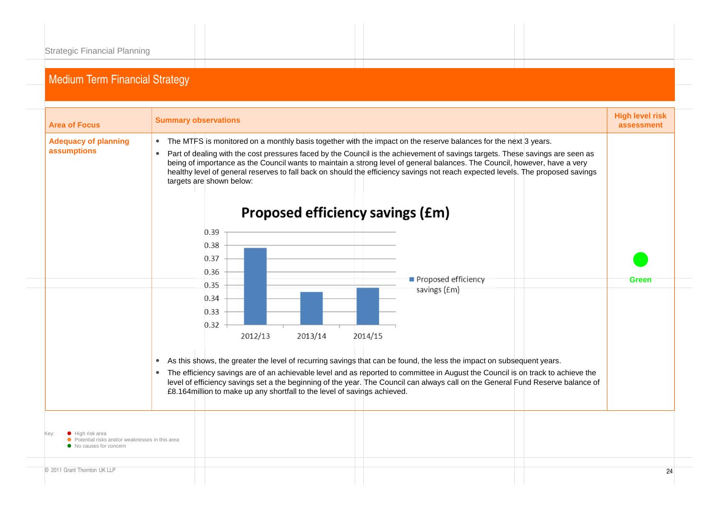| <b>Area of Focus</b>                                                                        | <b>Summary observations</b>                                                                                                                                                                                                                                                                                                                                                                                                                                                                                                                                  | <b>High level risk</b><br>assessment |  |
|---------------------------------------------------------------------------------------------|--------------------------------------------------------------------------------------------------------------------------------------------------------------------------------------------------------------------------------------------------------------------------------------------------------------------------------------------------------------------------------------------------------------------------------------------------------------------------------------------------------------------------------------------------------------|--------------------------------------|--|
| <b>Adequacy of planning</b><br>assumptions                                                  | • The MTFS is monitored on a monthly basis together with the impact on the reserve balances for the next 3 years.<br>Part of dealing with the cost pressures faced by the Council is the achievement of savings targets. These savings are seen as<br>$\bullet$<br>being of importance as the Council wants to maintain a strong level of general balances. The Council, however, have a very<br>healthy level of general reserves to fall back on should the efficiency savings not reach expected levels. The proposed savings<br>targets are shown below: |                                      |  |
|                                                                                             | <b>Proposed efficiency savings (£m)</b>                                                                                                                                                                                                                                                                                                                                                                                                                                                                                                                      |                                      |  |
|                                                                                             | 0.39<br>0.38                                                                                                                                                                                                                                                                                                                                                                                                                                                                                                                                                 |                                      |  |
|                                                                                             | 0.37<br>0.36                                                                                                                                                                                                                                                                                                                                                                                                                                                                                                                                                 |                                      |  |
|                                                                                             | Proposed efficiency<br>0.35<br>savings (£m)                                                                                                                                                                                                                                                                                                                                                                                                                                                                                                                  | Green                                |  |
|                                                                                             | 0.34<br>0.33<br>0.32                                                                                                                                                                                                                                                                                                                                                                                                                                                                                                                                         |                                      |  |
|                                                                                             | 2012/13<br>2013/14<br>2014/15                                                                                                                                                                                                                                                                                                                                                                                                                                                                                                                                |                                      |  |
|                                                                                             | As this shows, the greater the level of recurring savings that can be found, the less the impact on subsequent years.<br>$\bullet$<br>The efficiency savings are of an achievable level and as reported to committee in August the Council is on track to achieve the<br>$\bullet$<br>level of efficiency savings set a the beginning of the year. The Council can always call on the General Fund Reserve balance of<br>£8.164million to make up any shortfall to the level of savings achieved.                                                            |                                      |  |
| High risk area<br>● Potential risks and/or weaknesses in this area<br>No causes for concern |                                                                                                                                                                                                                                                                                                                                                                                                                                                                                                                                                              |                                      |  |
| © 2011 Grant Thornton UK LLP                                                                |                                                                                                                                                                                                                                                                                                                                                                                                                                                                                                                                                              | 24                                   |  |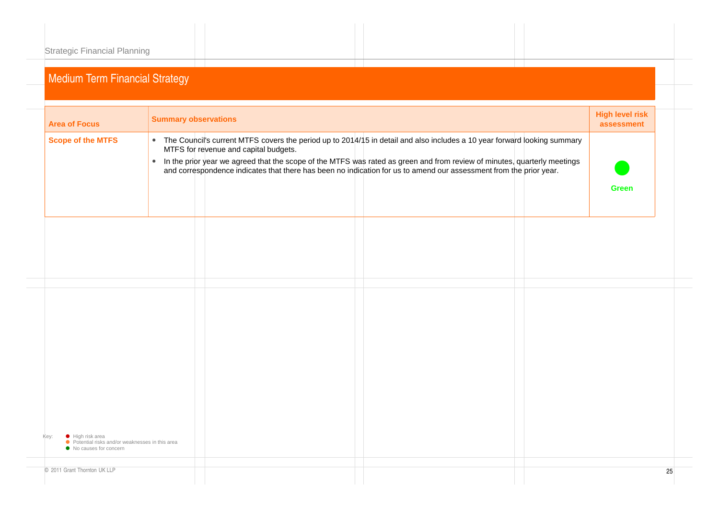| <b>Area of Focus</b>                                                                                  | <b>Summary observations</b>                                                                                                                                                                                                                                                                                                                                                                                                        | <b>High level risk</b><br>assessment |
|-------------------------------------------------------------------------------------------------------|------------------------------------------------------------------------------------------------------------------------------------------------------------------------------------------------------------------------------------------------------------------------------------------------------------------------------------------------------------------------------------------------------------------------------------|--------------------------------------|
| <b>Scope of the MTFS</b>                                                                              | • The Council's current MTFS covers the period up to 2014/15 in detail and also includes a 10 year forward looking summary<br>MTFS for revenue and capital budgets.<br>In the prior year we agreed that the scope of the MTFS was rated as green and from review of minutes, quarterly meetings<br>$\bullet$<br>and correspondence indicates that there has been no indication for us to amend our assessment from the prior year. | <b>Green</b>                         |
|                                                                                                       |                                                                                                                                                                                                                                                                                                                                                                                                                                    |                                      |
|                                                                                                       |                                                                                                                                                                                                                                                                                                                                                                                                                                    |                                      |
|                                                                                                       |                                                                                                                                                                                                                                                                                                                                                                                                                                    |                                      |
| Key:<br>High risk area<br>● Potential risks and/or weaknesses in this area<br>• No causes for concern |                                                                                                                                                                                                                                                                                                                                                                                                                                    |                                      |
| © 2011 Grant Thornton UK LLP                                                                          |                                                                                                                                                                                                                                                                                                                                                                                                                                    |                                      |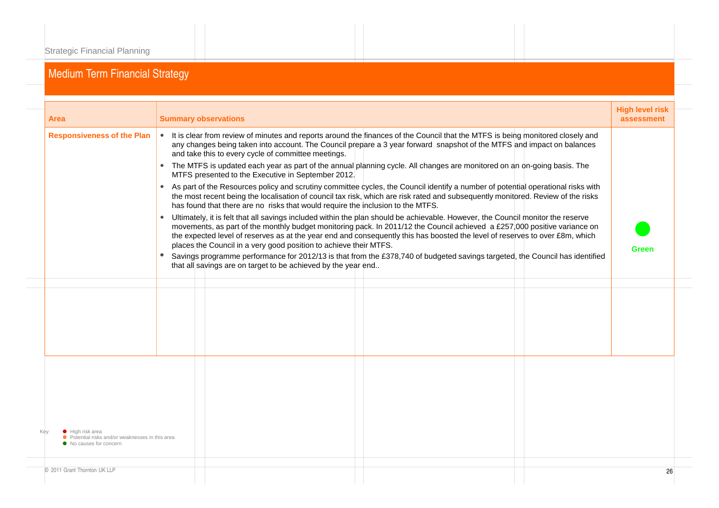| Area                                                                                          | <b>Summary observations</b>                                                                               |                                                                                                                                                                                                                                                                                                                                                                                              | <b>High level risk</b><br>assessment |  |
|-----------------------------------------------------------------------------------------------|-----------------------------------------------------------------------------------------------------------|----------------------------------------------------------------------------------------------------------------------------------------------------------------------------------------------------------------------------------------------------------------------------------------------------------------------------------------------------------------------------------------------|--------------------------------------|--|
| <b>Responsiveness of the Plan</b>                                                             | and take this to every cycle of committee meetings.<br>MTFS presented to the Executive in September 2012. | • It is clear from review of minutes and reports around the finances of the Council that the MTFS is being monitored closely and<br>any changes being taken into account. The Council prepare a 3 year forward snapshot of the MTFS and impact on balances<br>• The MTFS is updated each year as part of the annual planning cycle. All changes are monitored on an on-going basis. The      |                                      |  |
|                                                                                               |                                                                                                           | • As part of the Resources policy and scrutiny committee cycles, the Council identify a number of potential operational risks with<br>the most recent being the localisation of council tax risk, which are risk rated and subsequently monitored. Review of the risks<br>has found that there are no risks that would require the inclusion to the MTFS.                                    |                                      |  |
|                                                                                               | places the Council in a very good position to achieve their MTFS.                                         | Ultimately, it is felt that all savings included within the plan should be achievable. However, the Council monitor the reserve<br>movements, as part of the monthly budget monitoring pack. In 2011/12 the Council achieved a £257,000 positive variance on<br>the expected level of reserves as at the year end and consequently this has boosted the level of reserves to over £8m, which | Green                                |  |
|                                                                                               | that all savings are on target to be achieved by the year end                                             | Savings programme performance for 2012/13 is that from the £378,740 of budgeted savings targeted, the Council has identified                                                                                                                                                                                                                                                                 |                                      |  |
|                                                                                               |                                                                                                           |                                                                                                                                                                                                                                                                                                                                                                                              |                                      |  |
|                                                                                               |                                                                                                           |                                                                                                                                                                                                                                                                                                                                                                                              |                                      |  |
|                                                                                               |                                                                                                           |                                                                                                                                                                                                                                                                                                                                                                                              |                                      |  |
| High risk area<br>● Potential risks and/or weaknesses in this area<br>• No causes for concern |                                                                                                           |                                                                                                                                                                                                                                                                                                                                                                                              |                                      |  |
| © 2011 Grant Thornton UK LLP                                                                  |                                                                                                           |                                                                                                                                                                                                                                                                                                                                                                                              | 26                                   |  |
|                                                                                               |                                                                                                           |                                                                                                                                                                                                                                                                                                                                                                                              |                                      |  |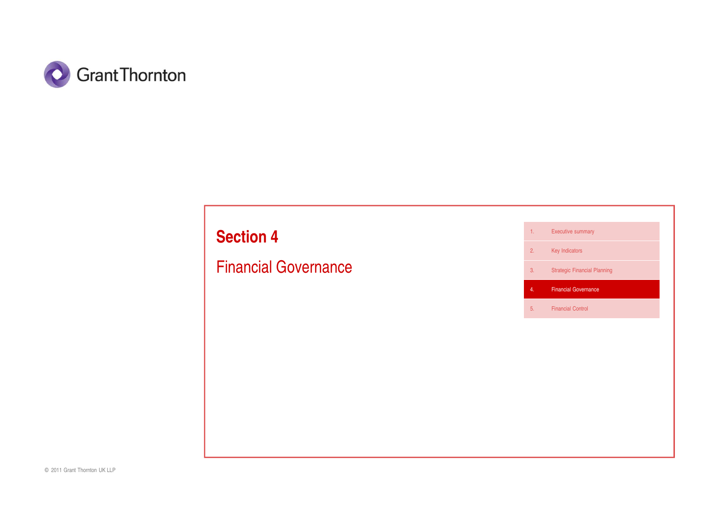

# **Section 4**

# Financial Governance

1. Executive summary

2. Key Indicators

3. Strategic Financial Planning

4. Financial Governance

5. Financial Control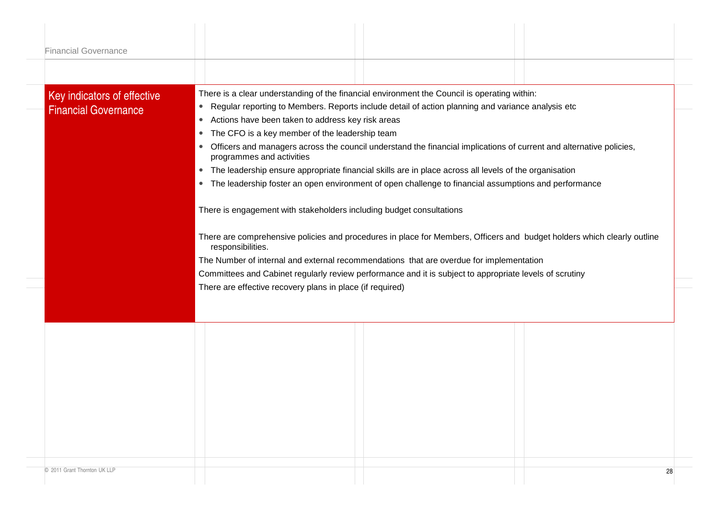| <b>Financial Governance</b>  |                                                                                                                                                               |
|------------------------------|---------------------------------------------------------------------------------------------------------------------------------------------------------------|
| Key indicators of effective  | There is a clear understanding of the financial environment the Council is operating within:                                                                  |
| <b>Financial Governance</b>  | Regular reporting to Members. Reports include detail of action planning and variance analysis etc<br>$\bullet$                                                |
|                              | Actions have been taken to address key risk areas<br>$\bullet$                                                                                                |
|                              | The CFO is a key member of the leadership team<br>$\bullet$                                                                                                   |
|                              | Officers and managers across the council understand the financial implications of current and alternative policies,<br>$\bullet$<br>programmes and activities |
|                              | The leadership ensure appropriate financial skills are in place across all levels of the organisation<br>$\bullet$                                            |
|                              | The leadership foster an open environment of open challenge to financial assumptions and performance<br>$\bullet$                                             |
|                              | There is engagement with stakeholders including budget consultations                                                                                          |
|                              | There are comprehensive policies and procedures in place for Members, Officers and budget holders which clearly outline                                       |
|                              |                                                                                                                                                               |
|                              | responsibilities.                                                                                                                                             |
|                              | The Number of internal and external recommendations that are overdue for implementation                                                                       |
|                              | Committees and Cabinet regularly review performance and it is subject to appropriate levels of scrutiny                                                       |
|                              | There are effective recovery plans in place (if required)                                                                                                     |
|                              |                                                                                                                                                               |
|                              |                                                                                                                                                               |
|                              |                                                                                                                                                               |
|                              |                                                                                                                                                               |
|                              |                                                                                                                                                               |
|                              |                                                                                                                                                               |
|                              |                                                                                                                                                               |
|                              |                                                                                                                                                               |
|                              |                                                                                                                                                               |
|                              |                                                                                                                                                               |
|                              |                                                                                                                                                               |
| © 2011 Grant Thornton UK LLP |                                                                                                                                                               |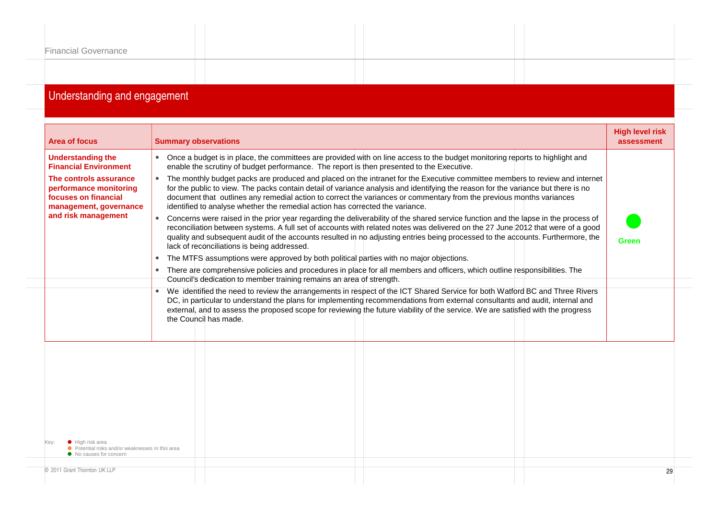| <b>Financial Governance</b> |  |
|-----------------------------|--|
|                             |  |
|                             |  |

#### Understanding and engagement

| <b>Area of focus</b>                                                                               | <b>Summary observations</b>                                                                                                                                                                                                                                                                                                                                                                                                                                               | <b>High level risk</b><br>assessment |
|----------------------------------------------------------------------------------------------------|---------------------------------------------------------------------------------------------------------------------------------------------------------------------------------------------------------------------------------------------------------------------------------------------------------------------------------------------------------------------------------------------------------------------------------------------------------------------------|--------------------------------------|
| <b>Understanding the</b><br><b>Financial Environment</b>                                           | • Once a budget is in place, the committees are provided with on line access to the budget monitoring reports to highlight and<br>enable the scrutiny of budget performance. The report is then presented to the Executive.                                                                                                                                                                                                                                               |                                      |
| The controls assurance<br>performance monitoring<br>focuses on financial<br>management, governance | The monthly budget packs are produced and placed on the intranet for the Executive committee members to review and internet<br>for the public to view. The packs contain detail of variance analysis and identifying the reason for the variance but there is no<br>document that outlines any remedial action to correct the variances or commentary from the previous months variances<br>identified to analyse whether the remedial action has corrected the variance. |                                      |
| and risk management                                                                                | • Concerns were raised in the prior year regarding the deliverability of the shared service function and the lapse in the process of<br>reconciliation between systems. A full set of accounts with related notes was delivered on the 27 June 2012 that were of a good<br>quality and subsequent audit of the accounts resulted in no adjusting entries being processed to the accounts. Furthermore, the<br>lack of reconciliations is being addressed.                 | <b>Green</b>                         |
|                                                                                                    | The MTFS assumptions were approved by both political parties with no major objections.<br>$\bullet$                                                                                                                                                                                                                                                                                                                                                                       |                                      |
|                                                                                                    | There are comprehensive policies and procedures in place for all members and officers, which outline responsibilities. The<br>Council's dedication to member training remains an area of strength.                                                                                                                                                                                                                                                                        |                                      |
|                                                                                                    | • We identified the need to review the arrangements in respect of the ICT Shared Service for both Watford BC and Three Rivers<br>DC, in particular to understand the plans for implementing recommendations from external consultants and audit, internal and<br>external, and to assess the proposed scope for reviewing the future viability of the service. We are satisfied with the progress<br>the Council has made.                                                |                                      |
|                                                                                                    |                                                                                                                                                                                                                                                                                                                                                                                                                                                                           |                                      |
|                                                                                                    |                                                                                                                                                                                                                                                                                                                                                                                                                                                                           |                                      |
| • High risk area<br>● Potential risks and/or weaknesses in this area<br>• No causes for concern    |                                                                                                                                                                                                                                                                                                                                                                                                                                                                           |                                      |
| © 2011 Grant Thornton UK LLP                                                                       |                                                                                                                                                                                                                                                                                                                                                                                                                                                                           | 29                                   |
|                                                                                                    |                                                                                                                                                                                                                                                                                                                                                                                                                                                                           |                                      |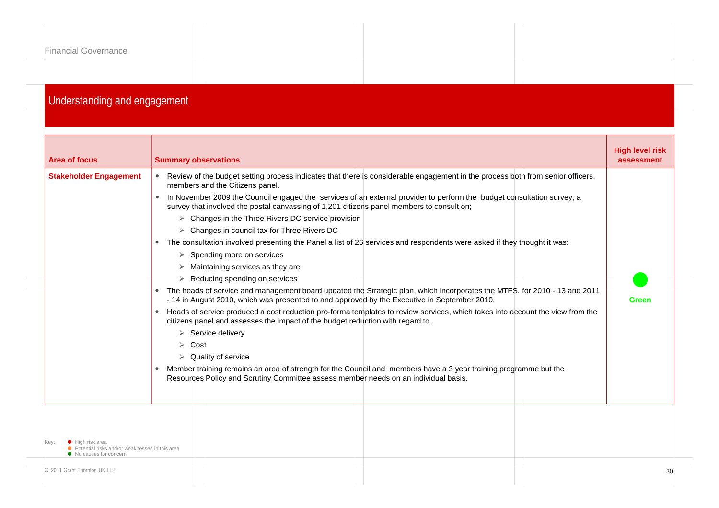| <b>Financial Governance</b> |  |  |
|-----------------------------|--|--|
|                             |  |  |
|                             |  |  |

#### Understanding and engagement

| <b>Area of focus</b>                                                                            | <b>Summary observations</b>                                                                                                                                                                                                                                                                                                                                                                                                                                                                                                                                                                                                                                                                                                                                                                                                                                                                                                                                                                                                   | <b>High level risk</b><br>assessment |
|-------------------------------------------------------------------------------------------------|-------------------------------------------------------------------------------------------------------------------------------------------------------------------------------------------------------------------------------------------------------------------------------------------------------------------------------------------------------------------------------------------------------------------------------------------------------------------------------------------------------------------------------------------------------------------------------------------------------------------------------------------------------------------------------------------------------------------------------------------------------------------------------------------------------------------------------------------------------------------------------------------------------------------------------------------------------------------------------------------------------------------------------|--------------------------------------|
| <b>Stakeholder Engagement</b>                                                                   | Review of the budget setting process indicates that there is considerable engagement in the process both from senior officers,<br>members and the Citizens panel.<br>In November 2009 the Council engaged the services of an external provider to perform the budget consultation survey, a<br>survey that involved the postal canvassing of 1,201 citizens panel members to consult on;<br>$\triangleright$ Changes in the Three Rivers DC service provision<br>$\triangleright$ Changes in council tax for Three Rivers DC<br>The consultation involved presenting the Panel a list of 26 services and respondents were asked if they thought it was:<br>Spending more on services<br>➤<br>$\triangleright$ Maintaining services as they are<br>$\triangleright$ Reducing spending on services<br>The heads of service and management board updated the Strategic plan, which incorporates the MTFS, for 2010 - 13 and 2011<br>- 14 in August 2010, which was presented to and approved by the Executive in September 2010. | Green                                |
|                                                                                                 | Heads of service produced a cost reduction pro-forma templates to review services, which takes into account the view from the<br>citizens panel and assesses the impact of the budget reduction with regard to.<br>$\triangleright$ Service delivery<br>$\triangleright$ Cost<br>$\triangleright$ Quality of service<br>Member training remains an area of strength for the Council and members have a 3 year training programme but the<br>Resources Policy and Scrutiny Committee assess member needs on an individual basis.                                                                                                                                                                                                                                                                                                                                                                                                                                                                                               |                                      |
| • High risk area<br>● Potential risks and/or weaknesses in this area<br>• No causes for concern |                                                                                                                                                                                                                                                                                                                                                                                                                                                                                                                                                                                                                                                                                                                                                                                                                                                                                                                                                                                                                               |                                      |
| © 2011 Grant Thornton UK LLP                                                                    |                                                                                                                                                                                                                                                                                                                                                                                                                                                                                                                                                                                                                                                                                                                                                                                                                                                                                                                                                                                                                               |                                      |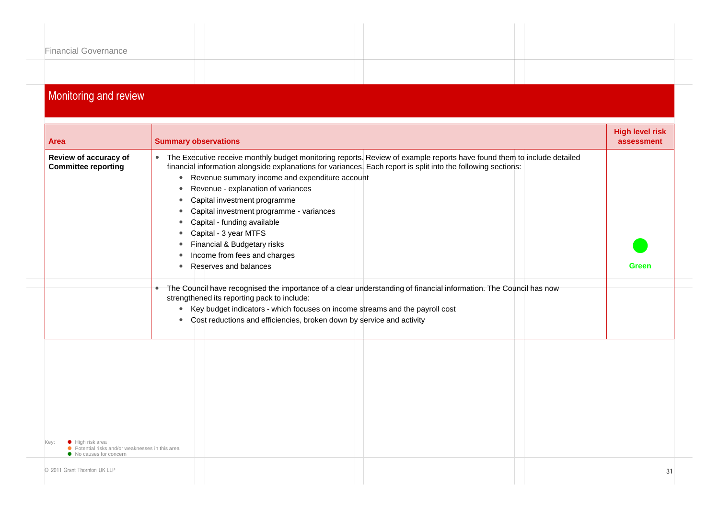| <b>TANK CONTRACT AND RESIDENCE AND RESIDENTS</b> |  |
|--------------------------------------------------|--|
|                                                  |  |
|                                                  |  |
|                                                  |  |
|                                                  |  |
| <b>Financial Governance</b>                      |  |
|                                                  |  |
|                                                  |  |
|                                                  |  |

#### **Monitoring and review**

| <b>Area</b>                                                                 | <b>Summary observations</b>                                                                                                                                                                                                                                                                                                                                                                                                                                                                                                                                                             | <b>High level risk</b><br>assessment |
|-----------------------------------------------------------------------------|-----------------------------------------------------------------------------------------------------------------------------------------------------------------------------------------------------------------------------------------------------------------------------------------------------------------------------------------------------------------------------------------------------------------------------------------------------------------------------------------------------------------------------------------------------------------------------------------|--------------------------------------|
| Review of accuracy of<br><b>Committee reporting</b>                         | • The Executive receive monthly budget monitoring reports. Review of example reports have found them to include detailed<br>financial information alongside explanations for variances. Each report is split into the following sections:<br>Revenue summary income and expenditure account<br>$\bullet$<br>Revenue - explanation of variances<br>$\bullet$<br>Capital investment programme<br>Capital investment programme - variances<br>Capital - funding available<br>Capital - 3 year MTFS<br>Financial & Budgetary risks<br>Income from fees and charges<br>Reserves and balances | Green                                |
|                                                                             | • The Council have recognised the importance of a clear understanding of financial information. The Council has now<br>strengthened its reporting pack to include:<br>Key budget indicators - which focuses on income streams and the payroll cost<br>$\bullet$<br>Cost reductions and efficiencies, broken down by service and activity<br>$\bullet$                                                                                                                                                                                                                                   |                                      |
| ● High risk area                                                            |                                                                                                                                                                                                                                                                                                                                                                                                                                                                                                                                                                                         |                                      |
| ● Potential risks and/or weaknesses in this area<br>• No causes for concern |                                                                                                                                                                                                                                                                                                                                                                                                                                                                                                                                                                                         |                                      |
| © 2011 Grant Thornton UK LLP                                                |                                                                                                                                                                                                                                                                                                                                                                                                                                                                                                                                                                                         | 31                                   |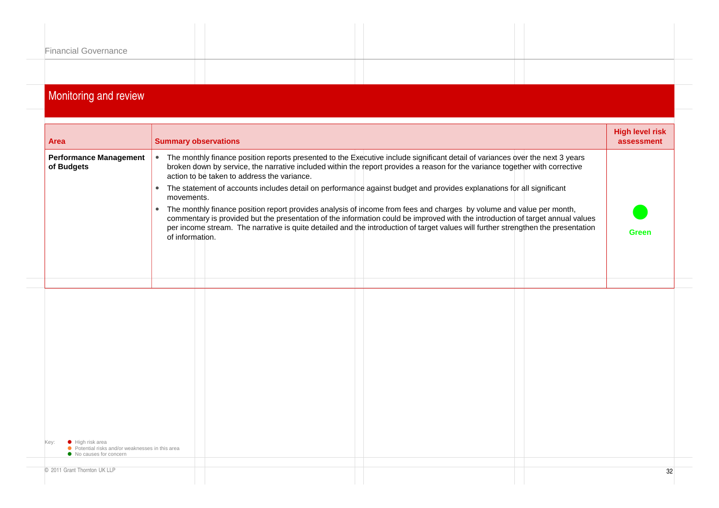| <b>Financial Governance</b> |  |
|-----------------------------|--|
|                             |  |
|                             |  |
|                             |  |
|                             |  |
|                             |  |
|                             |  |
|                             |  |

#### Monitoring and review

| <b>Performance Management</b><br>The monthly finance position reports presented to the Executive include significant detail of variances over the next 3 years<br>$\bullet$<br>broken down by service, the narrative included within the report provides a reason for the variance together with corrective<br>of Budgets<br>action to be taken to address the variance.<br>The statement of accounts includes detail on performance against budget and provides explanations for all significant<br>$\bullet$<br>movements.<br>The monthly finance position report provides analysis of income from fees and charges by volume and value per month,<br>$\bullet$<br>commentary is provided but the presentation of the information could be improved with the introduction of target annual values<br>per income stream. The narrative is quite detailed and the introduction of target values will further strengthen the presentation<br><b>Green</b><br>of information.<br>• High risk area<br>● Potential risks and/or weaknesses in this area<br>• No causes for concern | Area                         | <b>Summary observations</b> | <b>High level risk</b><br>assessment |
|--------------------------------------------------------------------------------------------------------------------------------------------------------------------------------------------------------------------------------------------------------------------------------------------------------------------------------------------------------------------------------------------------------------------------------------------------------------------------------------------------------------------------------------------------------------------------------------------------------------------------------------------------------------------------------------------------------------------------------------------------------------------------------------------------------------------------------------------------------------------------------------------------------------------------------------------------------------------------------------------------------------------------------------------------------------------------------|------------------------------|-----------------------------|--------------------------------------|
|                                                                                                                                                                                                                                                                                                                                                                                                                                                                                                                                                                                                                                                                                                                                                                                                                                                                                                                                                                                                                                                                                |                              |                             |                                      |
|                                                                                                                                                                                                                                                                                                                                                                                                                                                                                                                                                                                                                                                                                                                                                                                                                                                                                                                                                                                                                                                                                |                              |                             |                                      |
|                                                                                                                                                                                                                                                                                                                                                                                                                                                                                                                                                                                                                                                                                                                                                                                                                                                                                                                                                                                                                                                                                |                              |                             |                                      |
|                                                                                                                                                                                                                                                                                                                                                                                                                                                                                                                                                                                                                                                                                                                                                                                                                                                                                                                                                                                                                                                                                |                              |                             |                                      |
|                                                                                                                                                                                                                                                                                                                                                                                                                                                                                                                                                                                                                                                                                                                                                                                                                                                                                                                                                                                                                                                                                |                              |                             |                                      |
|                                                                                                                                                                                                                                                                                                                                                                                                                                                                                                                                                                                                                                                                                                                                                                                                                                                                                                                                                                                                                                                                                | © 2011 Grant Thornton UK LLP |                             | 32                                   |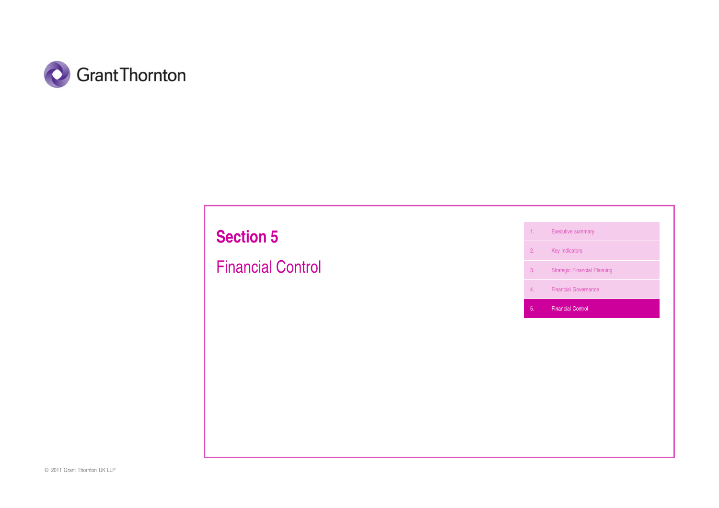

# **Section 5**

Financial Control

1. Executive summary

2. Key Indicators

3. Strategic Financial Planning

4. Financial Governance

5. Financial Control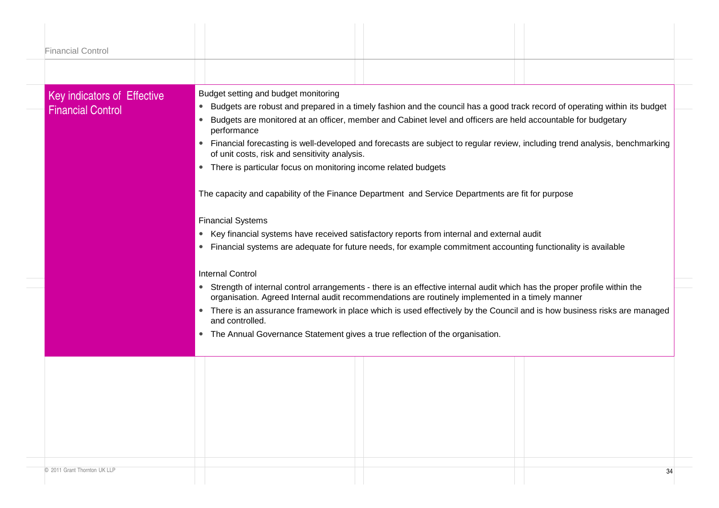| <b>Financial Control</b>    |                                                                                                                                                                                                                                           |
|-----------------------------|-------------------------------------------------------------------------------------------------------------------------------------------------------------------------------------------------------------------------------------------|
|                             |                                                                                                                                                                                                                                           |
| Key indicators of Effective | Budget setting and budget monitoring                                                                                                                                                                                                      |
| <b>Financial Control</b>    | Budgets are robust and prepared in a timely fashion and the council has a good track record of operating within its budget<br>$\bullet$                                                                                                   |
|                             | Budgets are monitored at an officer, member and Cabinet level and officers are held accountable for budgetary<br>$\bullet$<br>performance                                                                                                 |
|                             | Financial forecasting is well-developed and forecasts are subject to regular review, including trend analysis, benchmarking<br>$\bullet$<br>of unit costs, risk and sensitivity analysis.                                                 |
|                             | • There is particular focus on monitoring income related budgets                                                                                                                                                                          |
|                             | The capacity and capability of the Finance Department and Service Departments are fit for purpose                                                                                                                                         |
|                             | <b>Financial Systems</b>                                                                                                                                                                                                                  |
|                             | • Key financial systems have received satisfactory reports from internal and external audit                                                                                                                                               |
|                             | Financial systems are adequate for future needs, for example commitment accounting functionality is available<br>$\bullet$                                                                                                                |
|                             | <b>Internal Control</b>                                                                                                                                                                                                                   |
|                             | Strength of internal control arrangements - there is an effective internal audit which has the proper profile within the<br>$\bullet$<br>organisation. Agreed Internal audit recommendations are routinely implemented in a timely manner |
|                             | • There is an assurance framework in place which is used effectively by the Council and is how business risks are managed<br>and controlled.                                                                                              |
|                             | • The Annual Governance Statement gives a true reflection of the organisation.                                                                                                                                                            |
|                             |                                                                                                                                                                                                                                           |
|                             |                                                                                                                                                                                                                                           |
|                             |                                                                                                                                                                                                                                           |
|                             |                                                                                                                                                                                                                                           |
|                             |                                                                                                                                                                                                                                           |
|                             |                                                                                                                                                                                                                                           |
|                             |                                                                                                                                                                                                                                           |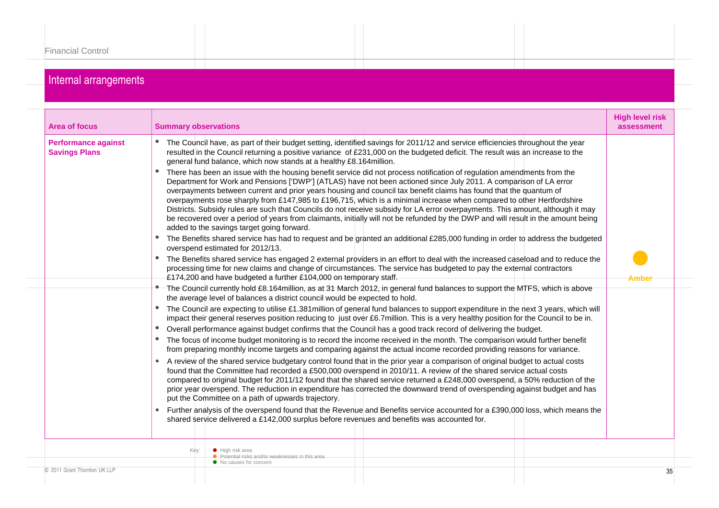### Internal arrangements

| <b>Area of focus</b>                               | <b>Summary observations</b> |                                                                                                                                                                                                                                                                                                                                                                                                                                                                                                                                                                                                                                                                                                                                                                                                                                                                                                                                                                                                                                                                                                                                                                                                                                                                                                                                                                                                                                                                                                                                                                                                                                                                                                                                                                                                                                                                                                                                                                                                                                                                                                                                                                                                                                                                                                                                                                                                                                                                                                                                                                                                                                                                                                                                                                                                                                                                                                                                                                                                                                                                                                                                                                                                                                                                                                                                                                                                                                      | <b>High level risk</b><br>assessment |
|----------------------------------------------------|-----------------------------|--------------------------------------------------------------------------------------------------------------------------------------------------------------------------------------------------------------------------------------------------------------------------------------------------------------------------------------------------------------------------------------------------------------------------------------------------------------------------------------------------------------------------------------------------------------------------------------------------------------------------------------------------------------------------------------------------------------------------------------------------------------------------------------------------------------------------------------------------------------------------------------------------------------------------------------------------------------------------------------------------------------------------------------------------------------------------------------------------------------------------------------------------------------------------------------------------------------------------------------------------------------------------------------------------------------------------------------------------------------------------------------------------------------------------------------------------------------------------------------------------------------------------------------------------------------------------------------------------------------------------------------------------------------------------------------------------------------------------------------------------------------------------------------------------------------------------------------------------------------------------------------------------------------------------------------------------------------------------------------------------------------------------------------------------------------------------------------------------------------------------------------------------------------------------------------------------------------------------------------------------------------------------------------------------------------------------------------------------------------------------------------------------------------------------------------------------------------------------------------------------------------------------------------------------------------------------------------------------------------------------------------------------------------------------------------------------------------------------------------------------------------------------------------------------------------------------------------------------------------------------------------------------------------------------------------------------------------------------------------------------------------------------------------------------------------------------------------------------------------------------------------------------------------------------------------------------------------------------------------------------------------------------------------------------------------------------------------------------------------------------------------------------------------------------------------|--------------------------------------|
| <b>Performance against</b><br><b>Savings Plans</b> | Key:                        | The Council have, as part of their budget setting, identified savings for 2011/12 and service efficiencies throughout the year<br>resulted in the Council returning a positive variance of £231,000 on the budgeted deficit. The result was an increase to the<br>general fund balance, which now stands at a healthy £8.164 million.<br>There has been an issue with the housing benefit service did not process notification of regulation amendments from the<br>Department for Work and Pensions ['DWP'] (ATLAS) have not been actioned since July 2011. A comparison of LA error<br>overpayments between current and prior years housing and council tax benefit claims has found that the quantum of<br>overpayments rose sharply from £147,985 to £196,715, which is a minimal increase when compared to other Hertfordshire<br>Districts. Subsidy rules are such that Councils do not receive subsidy for LA error overpayments. This amount, although it may<br>be recovered over a period of years from claimants, initially will not be refunded by the DWP and will result in the amount being<br>added to the savings target going forward.<br>The Benefits shared service has had to request and be granted an additional £285,000 funding in order to address the budgeted<br>overspend estimated for 2012/13.<br>The Benefits shared service has engaged 2 external providers in an effort to deal with the increased caseload and to reduce the<br>processing time for new claims and change of circumstances. The service has budgeted to pay the external contractors<br>£174,200 and have budgeted a further £104,000 on temporary staff.<br>• The Council currently hold £8.164million, as at 31 March 2012, in general fund balances to support the MTFS, which is above<br>the average level of balances a district council would be expected to hold.<br>The Council are expecting to utilise £1.381 million of general fund balances to support expenditure in the next 3 years, which will<br>impact their general reserves position reducing to just over £6.7million. This is a very healthy position for the Council to be in.<br>Overall performance against budget confirms that the Council has a good track record of delivering the budget.<br>The focus of income budget monitoring is to record the income received in the month. The comparison would further benefit<br>from preparing monthly income targets and comparing against the actual income recorded providing reasons for variance.<br>A review of the shared service budgetary control found that in the prior year a comparison of original budget to actual costs<br>found that the Committee had recorded a £500,000 overspend in 2010/11. A review of the shared service actual costs<br>compared to original budget for 2011/12 found that the shared service returned a £248,000 overspend, a 50% reduction of the<br>prior year overspend. The reduction in expenditure has corrected the downward trend of overspending against budget and has<br>put the Committee on a path of upwards trajectory.<br>Further analysis of the overspend found that the Revenue and Benefits service accounted for a £390,000 loss, which means the<br>shared service delivered a £142,000 surplus before revenues and benefits was accounted for.<br>$\bullet$ High risk area<br><b>O</b> Potential risks and/or weaknesses in this area | Amber                                |
| © 2011 Grant Thornton UK LLP                       |                             | • No causes for concern                                                                                                                                                                                                                                                                                                                                                                                                                                                                                                                                                                                                                                                                                                                                                                                                                                                                                                                                                                                                                                                                                                                                                                                                                                                                                                                                                                                                                                                                                                                                                                                                                                                                                                                                                                                                                                                                                                                                                                                                                                                                                                                                                                                                                                                                                                                                                                                                                                                                                                                                                                                                                                                                                                                                                                                                                                                                                                                                                                                                                                                                                                                                                                                                                                                                                                                                                                                                              | 35                                   |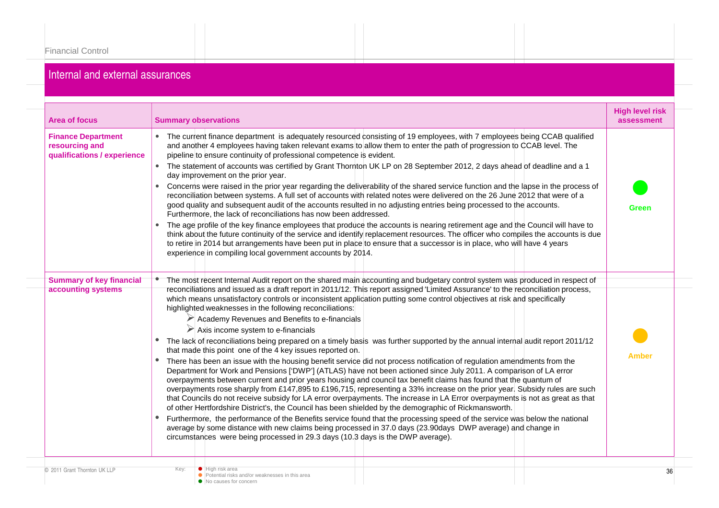### Internal and external assurances

| <b>Area of focus</b>                                                       | <b>Summary observations</b>                                                                                                                                                                                                                                                                                                                                                                                                                                                                                                                                                                                                                                                                                                                                                                                                                                                                                                                                                                                                                                                                                                                                                                                                                                                                                                                                                                                                                                                                                                                                                                                                                                                                                                                                                                                                                 | <b>High level risk</b><br>assessment |  |
|----------------------------------------------------------------------------|---------------------------------------------------------------------------------------------------------------------------------------------------------------------------------------------------------------------------------------------------------------------------------------------------------------------------------------------------------------------------------------------------------------------------------------------------------------------------------------------------------------------------------------------------------------------------------------------------------------------------------------------------------------------------------------------------------------------------------------------------------------------------------------------------------------------------------------------------------------------------------------------------------------------------------------------------------------------------------------------------------------------------------------------------------------------------------------------------------------------------------------------------------------------------------------------------------------------------------------------------------------------------------------------------------------------------------------------------------------------------------------------------------------------------------------------------------------------------------------------------------------------------------------------------------------------------------------------------------------------------------------------------------------------------------------------------------------------------------------------------------------------------------------------------------------------------------------------|--------------------------------------|--|
| <b>Finance Department</b><br>resourcing and<br>qualifications / experience | • The current finance department is adequately resourced consisting of 19 employees, with 7 employees being CCAB qualified<br>and another 4 employees having taken relevant exams to allow them to enter the path of progression to CCAB level. The<br>pipeline to ensure continuity of professional competence is evident.<br>• The statement of accounts was certified by Grant Thornton UK LP on 28 September 2012, 2 days ahead of deadline and a 1<br>day improvement on the prior year.<br>Concerns were raised in the prior year regarding the deliverability of the shared service function and the lapse in the process of<br>reconciliation between systems. A full set of accounts with related notes were delivered on the 26 June 2012 that were of a<br>good quality and subsequent audit of the accounts resulted in no adjusting entries being processed to the accounts.<br>Furthermore, the lack of reconciliations has now been addressed.<br>The age profile of the key finance employees that produce the accounts is nearing retirement age and the Council will have to<br>think about the future continuity of the service and identify replacement resources. The officer who compiles the accounts is due<br>to retire in 2014 but arrangements have been put in place to ensure that a successor is in place, who will have 4 years<br>experience in compiling local government accounts by 2014.                                                                                                                                                                                                                                                                                                                                                                                                                | Green                                |  |
| <b>Summary of key financial</b><br>accounting systems                      | The most recent Internal Audit report on the shared main accounting and budgetary control system was produced in respect of<br>reconciliations and issued as a draft report in 2011/12. This report assigned 'Limited Assurance' to the reconciliation process,<br>which means unsatisfactory controls or inconsistent application putting some control objectives at risk and specifically<br>highlighted weaknesses in the following reconciliations:<br>Academy Revenues and Benefits to e-financials<br>$\triangleright$ Axis income system to e-financials<br>The lack of reconciliations being prepared on a timely basis was further supported by the annual internal audit report 2011/12<br>that made this point one of the 4 key issues reported on.<br>There has been an issue with the housing benefit service did not process notification of regulation amendments from the<br>Department for Work and Pensions ['DWP'] (ATLAS) have not been actioned since July 2011. A comparison of LA error<br>overpayments between current and prior years housing and council tax benefit claims has found that the quantum of<br>overpayments rose sharply from £147,895 to £196,715, representing a 33% increase on the prior year. Subsidy rules are such<br>that Councils do not receive subsidy for LA error overpayments. The increase in LA Error overpayments is not as great as that<br>of other Hertfordshire District's, the Council has been shielded by the demographic of Rickmansworth.<br>Furthermore, the performance of the Benefits service found that the processing speed of the service was below the national<br>average by some distance with new claims being processed in 37.0 days (23.90days DWP average) and change in<br>circumstances were being processed in 29.3 days (10.3 days is the DWP average). | <b>Amber</b>                         |  |
| © 2011 Grant Thornton UK LLP                                               | Key:<br>$\bullet$ High risk area<br>• Potential risks and/or weaknesses in this area<br>No causes for concern                                                                                                                                                                                                                                                                                                                                                                                                                                                                                                                                                                                                                                                                                                                                                                                                                                                                                                                                                                                                                                                                                                                                                                                                                                                                                                                                                                                                                                                                                                                                                                                                                                                                                                                               | 36                                   |  |